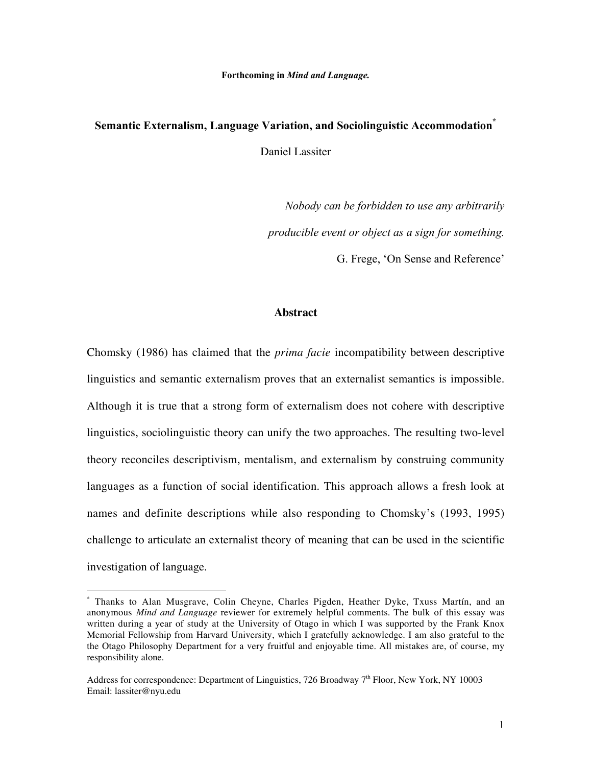#### **Forthcoming in** *Mind and Language.*

#### **Semantic Externalism, Language Variation, and Sociolinguistic Accommodation\***

Daniel Lassiter

*Nobody can be forbidden to use any arbitrarily producible event or object as a sign for something.* G. Frege, 'On Sense and Reference'

### **Abstract**

Chomsky (1986) has claimed that the *prima facie* incompatibility between descriptive linguistics and semantic externalism proves that an externalist semantics is impossible. Although it is true that a strong form of externalism does not cohere with descriptive linguistics, sociolinguistic theory can unify the two approaches. The resulting two-level theory reconciles descriptivism, mentalism, and externalism by construing community languages as a function of social identification. This approach allows a fresh look at names and definite descriptions while also responding to Chomsky's (1993, 1995) challenge to articulate an externalist theory of meaning that can be used in the scientific investigation of language.

<sup>\*</sup> Thanks to Alan Musgrave, Colin Cheyne, Charles Pigden, Heather Dyke, Txuss Martín, and an anonymous *Mind and Language* reviewer for extremely helpful comments. The bulk of this essay was written during a year of study at the University of Otago in which I was supported by the Frank Knox Memorial Fellowship from Harvard University, which I gratefully acknowledge. I am also grateful to the the Otago Philosophy Department for a very fruitful and enjoyable time. All mistakes are, of course, my responsibility alone.

Address for correspondence: Department of Linguistics, 726 Broadway 7<sup>th</sup> Floor, New York, NY 10003 Email: lassiter@nyu.edu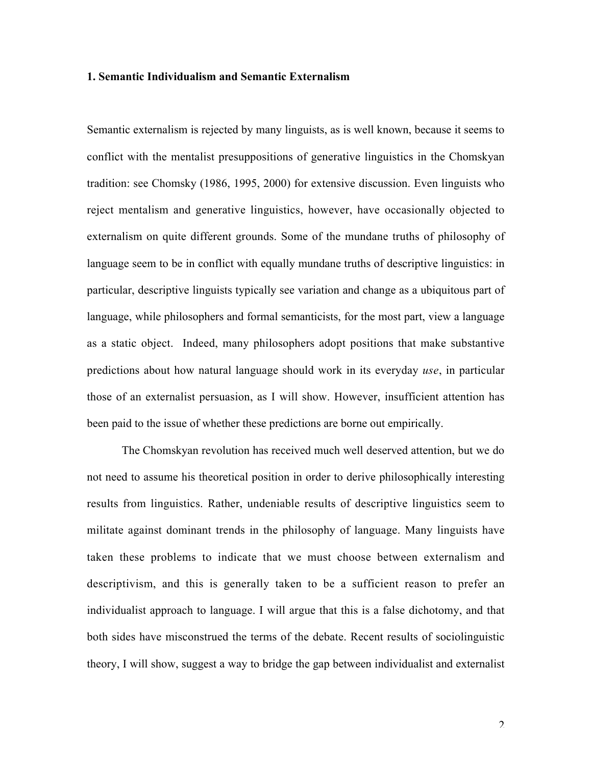### **1. Semantic Individualism and Semantic Externalism**

Semantic externalism is rejected by many linguists, as is well known, because it seems to conflict with the mentalist presuppositions of generative linguistics in the Chomskyan tradition: see Chomsky (1986, 1995, 2000) for extensive discussion. Even linguists who reject mentalism and generative linguistics, however, have occasionally objected to externalism on quite different grounds. Some of the mundane truths of philosophy of language seem to be in conflict with equally mundane truths of descriptive linguistics: in particular, descriptive linguists typically see variation and change as a ubiquitous part of language, while philosophers and formal semanticists, for the most part, view a language as a static object. Indeed, many philosophers adopt positions that make substantive predictions about how natural language should work in its everyday *use*, in particular those of an externalist persuasion, as I will show. However, insufficient attention has been paid to the issue of whether these predictions are borne out empirically.

The Chomskyan revolution has received much well deserved attention, but we do not need to assume his theoretical position in order to derive philosophically interesting results from linguistics. Rather, undeniable results of descriptive linguistics seem to militate against dominant trends in the philosophy of language. Many linguists have taken these problems to indicate that we must choose between externalism and descriptivism, and this is generally taken to be a sufficient reason to prefer an individualist approach to language. I will argue that this is a false dichotomy, and that both sides have misconstrued the terms of the debate. Recent results of sociolinguistic theory, I will show, suggest a way to bridge the gap between individualist and externalist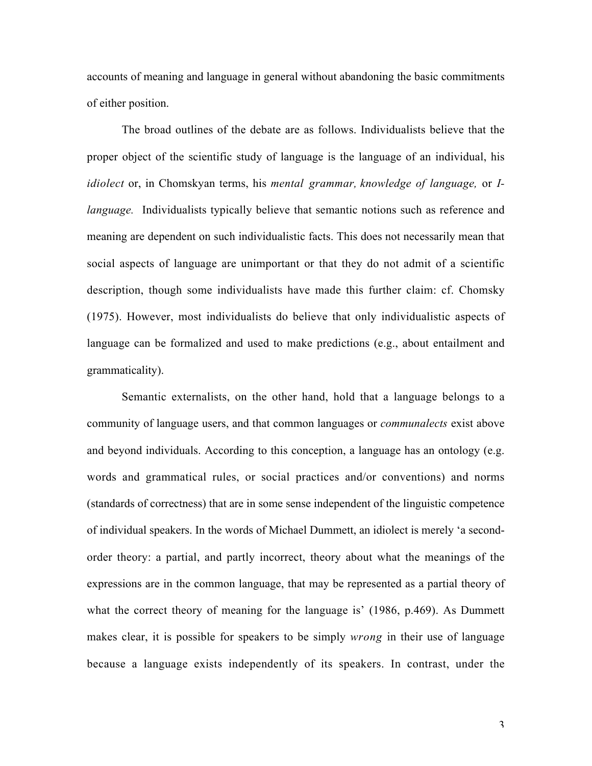accounts of meaning and language in general without abandoning the basic commitments of either position.

The broad outlines of the debate are as follows. Individualists believe that the proper object of the scientific study of language is the language of an individual, his *idiolect* or, in Chomskyan terms, his *mental grammar, knowledge of language,* or *Ilanguage.* Individualists typically believe that semantic notions such as reference and meaning are dependent on such individualistic facts. This does not necessarily mean that social aspects of language are unimportant or that they do not admit of a scientific description, though some individualists have made this further claim: cf. Chomsky (1975). However, most individualists do believe that only individualistic aspects of language can be formalized and used to make predictions (e.g., about entailment and grammaticality).

Semantic externalists, on the other hand, hold that a language belongs to a community of language users, and that common languages or *communalects* exist above and beyond individuals. According to this conception, a language has an ontology (e.g. words and grammatical rules, or social practices and/or conventions) and norms (standards of correctness) that are in some sense independent of the linguistic competence of individual speakers. In the words of Michael Dummett, an idiolect is merely 'a secondorder theory: a partial, and partly incorrect, theory about what the meanings of the expressions are in the common language, that may be represented as a partial theory of what the correct theory of meaning for the language is' (1986, p.469). As Dummett makes clear, it is possible for speakers to be simply *wrong* in their use of language because a language exists independently of its speakers. In contrast, under the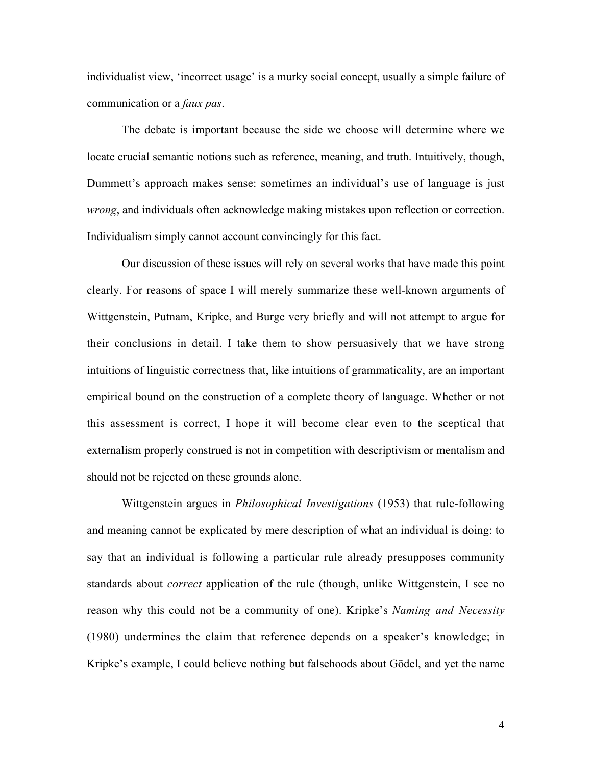individualist view, 'incorrect usage' is a murky social concept, usually a simple failure of communication or a *faux pas*.

The debate is important because the side we choose will determine where we locate crucial semantic notions such as reference, meaning, and truth. Intuitively, though, Dummett's approach makes sense: sometimes an individual's use of language is just *wrong*, and individuals often acknowledge making mistakes upon reflection or correction. Individualism simply cannot account convincingly for this fact.

Our discussion of these issues will rely on several works that have made this point clearly. For reasons of space I will merely summarize these well-known arguments of Wittgenstein, Putnam, Kripke, and Burge very briefly and will not attempt to argue for their conclusions in detail. I take them to show persuasively that we have strong intuitions of linguistic correctness that, like intuitions of grammaticality, are an important empirical bound on the construction of a complete theory of language. Whether or not this assessment is correct, I hope it will become clear even to the sceptical that externalism properly construed is not in competition with descriptivism or mentalism and should not be rejected on these grounds alone.

Wittgenstein argues in *Philosophical Investigations* (1953) that rule-following and meaning cannot be explicated by mere description of what an individual is doing: to say that an individual is following a particular rule already presupposes community standards about *correct* application of the rule (though, unlike Wittgenstein, I see no reason why this could not be a community of one). Kripke's *Naming and Necessity* (1980) undermines the claim that reference depends on a speaker's knowledge; in Kripke's example, I could believe nothing but falsehoods about Gödel, and yet the name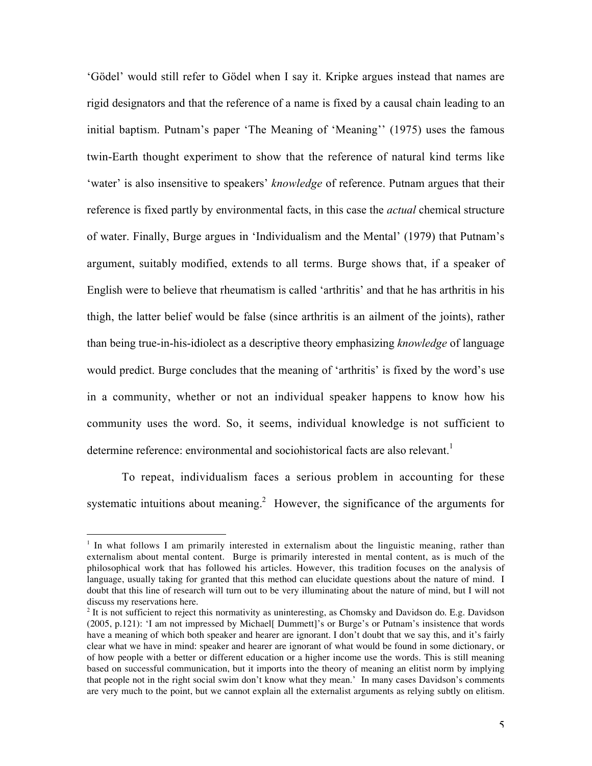'Gödel' would still refer to Gödel when I say it. Kripke argues instead that names are rigid designators and that the reference of a name is fixed by a causal chain leading to an initial baptism. Putnam's paper 'The Meaning of 'Meaning'' (1975) uses the famous twin-Earth thought experiment to show that the reference of natural kind terms like 'water' is also insensitive to speakers' *knowledge* of reference. Putnam argues that their reference is fixed partly by environmental facts, in this case the *actual* chemical structure of water. Finally, Burge argues in 'Individualism and the Mental' (1979) that Putnam's argument, suitably modified, extends to all terms. Burge shows that, if a speaker of English were to believe that rheumatism is called 'arthritis' and that he has arthritis in his thigh, the latter belief would be false (since arthritis is an ailment of the joints), rather than being true-in-his-idiolect as a descriptive theory emphasizing *knowledge* of language would predict. Burge concludes that the meaning of 'arthritis' is fixed by the word's use in a community, whether or not an individual speaker happens to know how his community uses the word. So, it seems, individual knowledge is not sufficient to determine reference: environmental and sociohistorical facts are also relevant.<sup>1</sup>

To repeat, individualism faces a serious problem in accounting for these systematic intuitions about meaning.<sup>2</sup> However, the significance of the arguments for

 $1$  In what follows I am primarily interested in externalism about the linguistic meaning, rather than externalism about mental content. Burge is primarily interested in mental content, as is much of the philosophical work that has followed his articles. However, this tradition focuses on the analysis of language, usually taking for granted that this method can elucidate questions about the nature of mind. I doubt that this line of research will turn out to be very illuminating about the nature of mind, but I will not discuss my reservations here.

 $2$  It is not sufficient to reject this normativity as uninteresting, as Chomsky and Davidson do. E.g. Davidson (2005, p.121): 'I am not impressed by Michael[ Dummett]'s or Burge's or Putnam's insistence that words have a meaning of which both speaker and hearer are ignorant. I don't doubt that we say this, and it's fairly clear what we have in mind: speaker and hearer are ignorant of what would be found in some dictionary, or of how people with a better or different education or a higher income use the words. This is still meaning based on successful communication, but it imports into the theory of meaning an elitist norm by implying that people not in the right social swim don't know what they mean.' In many cases Davidson's comments are very much to the point, but we cannot explain all the externalist arguments as relying subtly on elitism.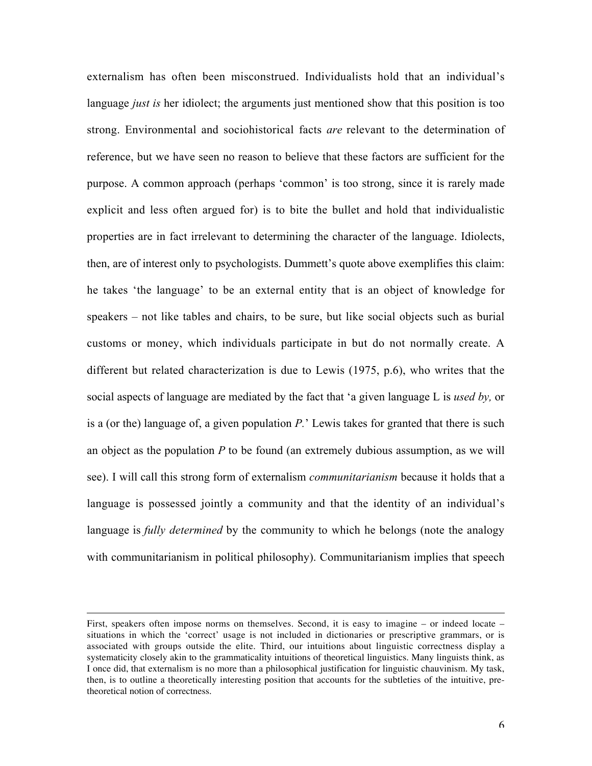externalism has often been misconstrued. Individualists hold that an individual's language *just is* her idiolect; the arguments just mentioned show that this position is too strong. Environmental and sociohistorical facts *are* relevant to the determination of reference, but we have seen no reason to believe that these factors are sufficient for the purpose. A common approach (perhaps 'common' is too strong, since it is rarely made explicit and less often argued for) is to bite the bullet and hold that individualistic properties are in fact irrelevant to determining the character of the language. Idiolects, then, are of interest only to psychologists. Dummett's quote above exemplifies this claim: he takes 'the language' to be an external entity that is an object of knowledge for speakers – not like tables and chairs, to be sure, but like social objects such as burial customs or money, which individuals participate in but do not normally create. A different but related characterization is due to Lewis (1975, p.6), who writes that the social aspects of language are mediated by the fact that 'a given language L is *used by,* or is a (or the) language of, a given population *P.*' Lewis takes for granted that there is such an object as the population *P* to be found (an extremely dubious assumption, as we will see). I will call this strong form of externalism *communitarianism* because it holds that a language is possessed jointly a community and that the identity of an individual's language is *fully determined* by the community to which he belongs (note the analogy with communitarianism in political philosophy). Communitarianism implies that speech

First, speakers often impose norms on themselves. Second, it is easy to imagine – or indeed locate – situations in which the 'correct' usage is not included in dictionaries or prescriptive grammars, or is associated with groups outside the elite. Third, our intuitions about linguistic correctness display a systematicity closely akin to the grammaticality intuitions of theoretical linguistics. Many linguists think, as I once did, that externalism is no more than a philosophical justification for linguistic chauvinism. My task, then, is to outline a theoretically interesting position that accounts for the subtleties of the intuitive, pretheoretical notion of correctness.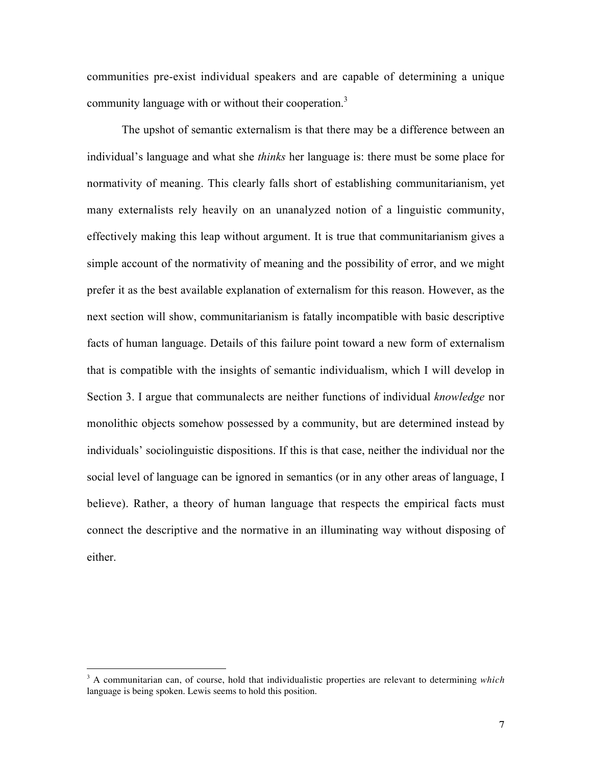communities pre-exist individual speakers and are capable of determining a unique community language with or without their cooperation.<sup>3</sup>

The upshot of semantic externalism is that there may be a difference between an individual's language and what she *thinks* her language is: there must be some place for normativity of meaning. This clearly falls short of establishing communitarianism, yet many externalists rely heavily on an unanalyzed notion of a linguistic community, effectively making this leap without argument. It is true that communitarianism gives a simple account of the normativity of meaning and the possibility of error, and we might prefer it as the best available explanation of externalism for this reason. However, as the next section will show, communitarianism is fatally incompatible with basic descriptive facts of human language. Details of this failure point toward a new form of externalism that is compatible with the insights of semantic individualism, which I will develop in Section 3. I argue that communalects are neither functions of individual *knowledge* nor monolithic objects somehow possessed by a community, but are determined instead by individuals' sociolinguistic dispositions. If this is that case, neither the individual nor the social level of language can be ignored in semantics (or in any other areas of language, I believe). Rather, a theory of human language that respects the empirical facts must connect the descriptive and the normative in an illuminating way without disposing of either.

<sup>3</sup> A communitarian can, of course, hold that individualistic properties are relevant to determining *which* language is being spoken. Lewis seems to hold this position.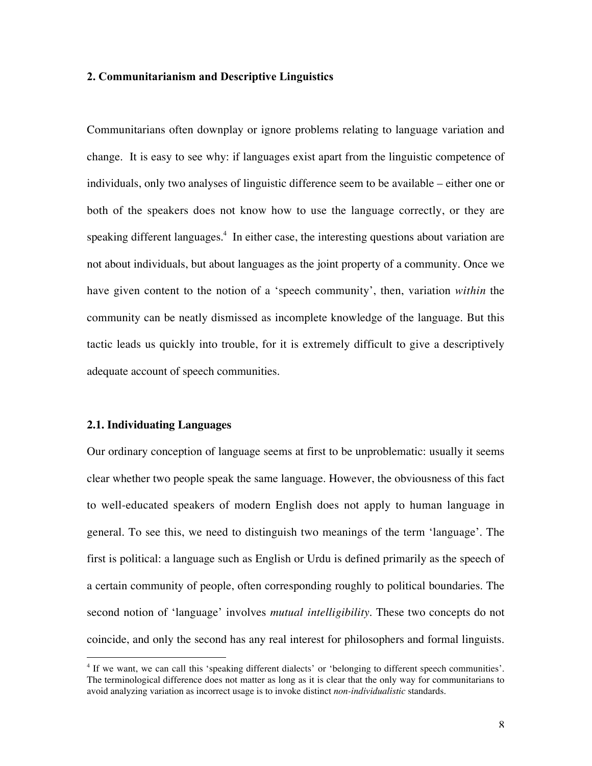## **2. Communitarianism and Descriptive Linguistics**

Communitarians often downplay or ignore problems relating to language variation and change. It is easy to see why: if languages exist apart from the linguistic competence of individuals, only two analyses of linguistic difference seem to be available – either one or both of the speakers does not know how to use the language correctly, or they are speaking different languages.<sup>4</sup> In either case, the interesting questions about variation are not about individuals, but about languages as the joint property of a community. Once we have given content to the notion of a 'speech community', then, variation *within* the community can be neatly dismissed as incomplete knowledge of the language. But this tactic leads us quickly into trouble, for it is extremely difficult to give a descriptively adequate account of speech communities.

## **2.1. Individuating Languages**

 $\overline{a}$ 

Our ordinary conception of language seems at first to be unproblematic: usually it seems clear whether two people speak the same language. However, the obviousness of this fact to well-educated speakers of modern English does not apply to human language in general. To see this, we need to distinguish two meanings of the term 'language'. The first is political: a language such as English or Urdu is defined primarily as the speech of a certain community of people, often corresponding roughly to political boundaries. The second notion of 'language' involves *mutual intelligibility*. These two concepts do not coincide, and only the second has any real interest for philosophers and formal linguists.

<sup>4</sup> If we want, we can call this 'speaking different dialects' or 'belonging to different speech communities'. The terminological difference does not matter as long as it is clear that the only way for communitarians to avoid analyzing variation as incorrect usage is to invoke distinct *non-individualistic* standards.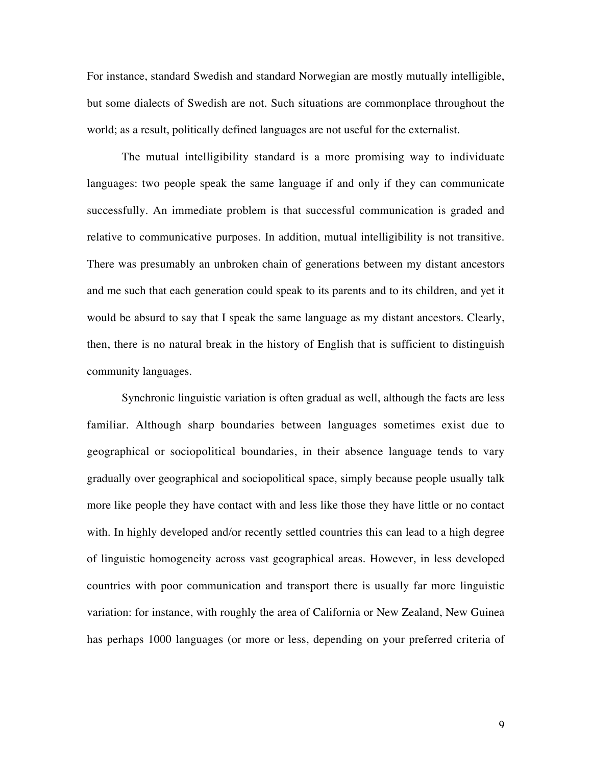For instance, standard Swedish and standard Norwegian are mostly mutually intelligible, but some dialects of Swedish are not. Such situations are commonplace throughout the world; as a result, politically defined languages are not useful for the externalist.

The mutual intelligibility standard is a more promising way to individuate languages: two people speak the same language if and only if they can communicate successfully. An immediate problem is that successful communication is graded and relative to communicative purposes. In addition, mutual intelligibility is not transitive. There was presumably an unbroken chain of generations between my distant ancestors and me such that each generation could speak to its parents and to its children, and yet it would be absurd to say that I speak the same language as my distant ancestors. Clearly, then, there is no natural break in the history of English that is sufficient to distinguish community languages.

Synchronic linguistic variation is often gradual as well, although the facts are less familiar. Although sharp boundaries between languages sometimes exist due to geographical or sociopolitical boundaries, in their absence language tends to vary gradually over geographical and sociopolitical space, simply because people usually talk more like people they have contact with and less like those they have little or no contact with. In highly developed and/or recently settled countries this can lead to a high degree of linguistic homogeneity across vast geographical areas. However, in less developed countries with poor communication and transport there is usually far more linguistic variation: for instance, with roughly the area of California or New Zealand, New Guinea has perhaps 1000 languages (or more or less, depending on your preferred criteria of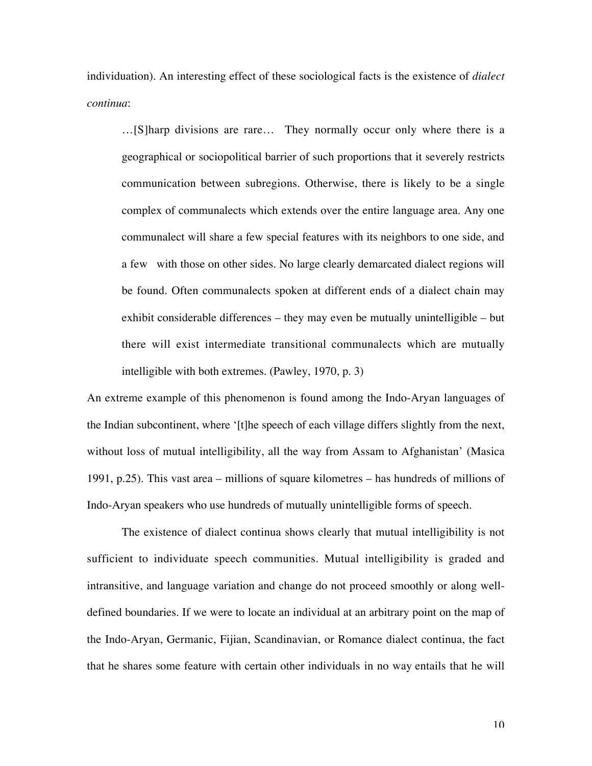individuation). An interesting effect of these sociological facts is the existence of *dialect continua*:

…[S]harp divisions are rare… They normally occur only where there is a geographical or sociopolitical barrier of such proportions that it severely restricts communication between subregions. Otherwise, there is likely to be a single complex of communalects which extends over the entire language area. Any one communalect will share a few special features with its neighbors to one side, and a few with those on other sides. No large clearly demarcated dialect regions will be found. Often communalects spoken at different ends of a dialect chain may exhibit considerable differences – they may even be mutually unintelligible – but there will exist intermediate transitional communalects which are mutually intelligible with both extremes. (Pawley, 1970, p. 3)

An extreme example of this phenomenon is found among the Indo-Aryan languages of the Indian subcontinent, where '[t]he speech of each village differs slightly from the next, without loss of mutual intelligibility, all the way from Assam to Afghanistan' (Masica 1991, p.25). This vast area – millions of square kilometres – has hundreds of millions of Indo-Aryan speakers who use hundreds of mutually unintelligible forms of speech.

The existence of dialect continua shows clearly that mutual intelligibility is not sufficient to individuate speech communities. Mutual intelligibility is graded and intransitive, and language variation and change do not proceed smoothly or along welldefined boundaries. If we were to locate an individual at an arbitrary point on the map of the Indo-Aryan, Germanic, Fijian, Scandinavian, or Romance dialect continua, the fact that he shares some feature with certain other individuals in no way entails that he will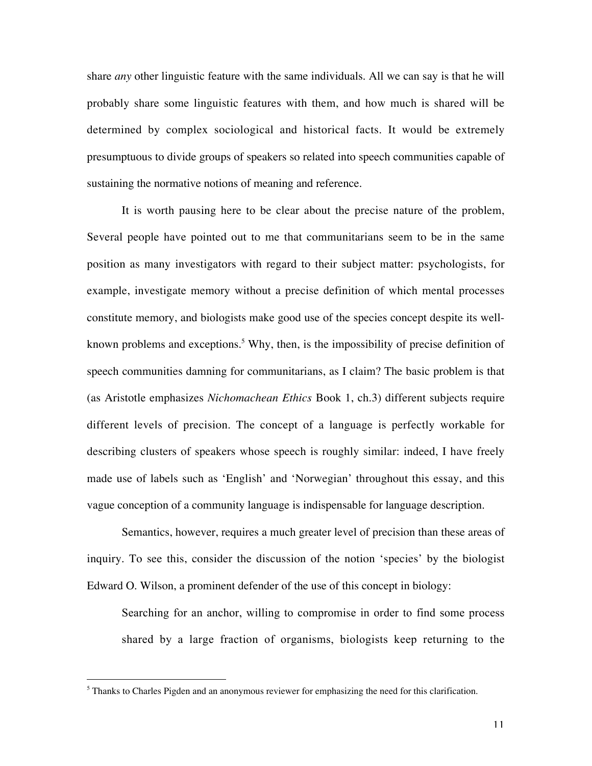share *any* other linguistic feature with the same individuals. All we can say is that he will probably share some linguistic features with them, and how much is shared will be determined by complex sociological and historical facts. It would be extremely presumptuous to divide groups of speakers so related into speech communities capable of sustaining the normative notions of meaning and reference.

It is worth pausing here to be clear about the precise nature of the problem, Several people have pointed out to me that communitarians seem to be in the same position as many investigators with regard to their subject matter: psychologists, for example, investigate memory without a precise definition of which mental processes constitute memory, and biologists make good use of the species concept despite its wellknown problems and exceptions.<sup>5</sup> Why, then, is the impossibility of precise definition of speech communities damning for communitarians, as I claim? The basic problem is that (as Aristotle emphasizes *Nichomachean Ethics* Book 1, ch.3) different subjects require different levels of precision. The concept of a language is perfectly workable for describing clusters of speakers whose speech is roughly similar: indeed, I have freely made use of labels such as 'English' and 'Norwegian' throughout this essay, and this vague conception of a community language is indispensable for language description.

Semantics, however, requires a much greater level of precision than these areas of inquiry. To see this, consider the discussion of the notion 'species' by the biologist Edward O. Wilson, a prominent defender of the use of this concept in biology:

Searching for an anchor, willing to compromise in order to find some process shared by a large fraction of organisms, biologists keep returning to the

<sup>&</sup>lt;sup>5</sup> Thanks to Charles Pigden and an anonymous reviewer for emphasizing the need for this clarification.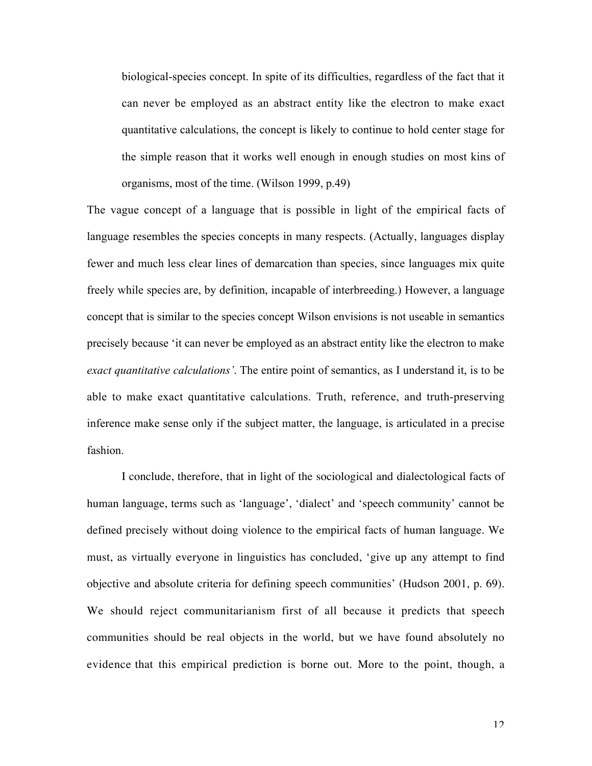biological-species concept. In spite of its difficulties, regardless of the fact that it can never be employed as an abstract entity like the electron to make exact quantitative calculations, the concept is likely to continue to hold center stage for the simple reason that it works well enough in enough studies on most kins of organisms, most of the time. (Wilson 1999, p.49)

The vague concept of a language that is possible in light of the empirical facts of language resembles the species concepts in many respects. (Actually, languages display fewer and much less clear lines of demarcation than species, since languages mix quite freely while species are, by definition, incapable of interbreeding.) However, a language concept that is similar to the species concept Wilson envisions is not useable in semantics precisely because 'it can never be employed as an abstract entity like the electron to make *exact quantitative calculations'*. The entire point of semantics, as I understand it, is to be able to make exact quantitative calculations. Truth, reference, and truth-preserving inference make sense only if the subject matter, the language, is articulated in a precise fashion.

 I conclude, therefore, that in light of the sociological and dialectological facts of human language, terms such as 'language', 'dialect' and 'speech community' cannot be defined precisely without doing violence to the empirical facts of human language. We must, as virtually everyone in linguistics has concluded, 'give up any attempt to find objective and absolute criteria for defining speech communities' (Hudson 2001, p. 69). We should reject communitarianism first of all because it predicts that speech communities should be real objects in the world, but we have found absolutely no evidence that this empirical prediction is borne out. More to the point, though, a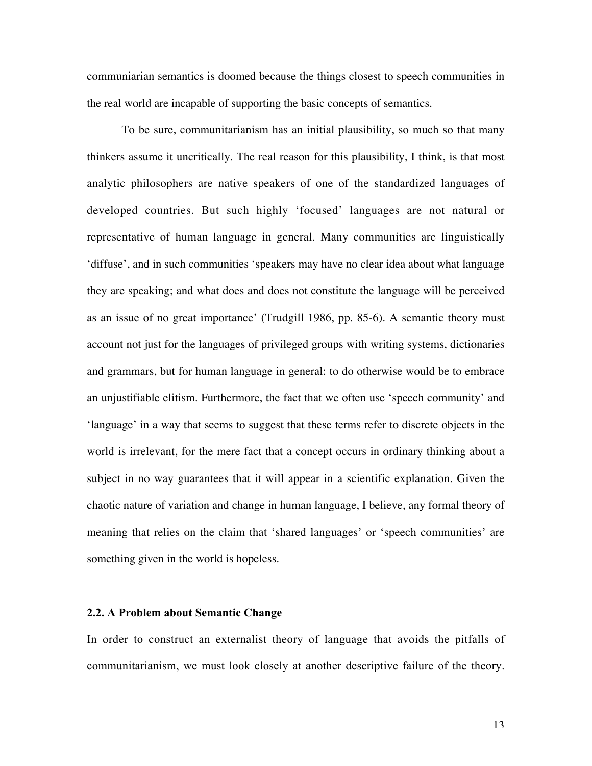communiarian semantics is doomed because the things closest to speech communities in the real world are incapable of supporting the basic concepts of semantics.

To be sure, communitarianism has an initial plausibility, so much so that many thinkers assume it uncritically. The real reason for this plausibility, I think, is that most analytic philosophers are native speakers of one of the standardized languages of developed countries. But such highly 'focused' languages are not natural or representative of human language in general. Many communities are linguistically 'diffuse', and in such communities 'speakers may have no clear idea about what language they are speaking; and what does and does not constitute the language will be perceived as an issue of no great importance' (Trudgill 1986, pp. 85-6). A semantic theory must account not just for the languages of privileged groups with writing systems, dictionaries and grammars, but for human language in general: to do otherwise would be to embrace an unjustifiable elitism. Furthermore, the fact that we often use 'speech community' and 'language' in a way that seems to suggest that these terms refer to discrete objects in the world is irrelevant, for the mere fact that a concept occurs in ordinary thinking about a subject in no way guarantees that it will appear in a scientific explanation. Given the chaotic nature of variation and change in human language, I believe, any formal theory of meaning that relies on the claim that 'shared languages' or 'speech communities' are something given in the world is hopeless.

## **2.2. A Problem about Semantic Change**

In order to construct an externalist theory of language that avoids the pitfalls of communitarianism, we must look closely at another descriptive failure of the theory.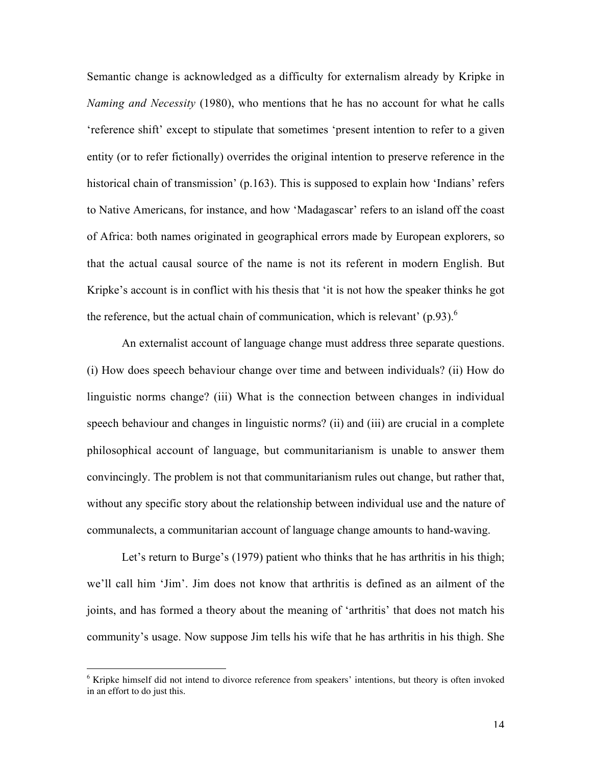Semantic change is acknowledged as a difficulty for externalism already by Kripke in *Naming and Necessity* (1980), who mentions that he has no account for what he calls 'reference shift' except to stipulate that sometimes 'present intention to refer to a given entity (or to refer fictionally) overrides the original intention to preserve reference in the historical chain of transmission' (p.163). This is supposed to explain how 'Indians' refers to Native Americans, for instance, and how 'Madagascar' refers to an island off the coast of Africa: both names originated in geographical errors made by European explorers, so that the actual causal source of the name is not its referent in modern English. But Kripke's account is in conflict with his thesis that 'it is not how the speaker thinks he got the reference, but the actual chain of communication, which is relevant'  $(p.93)$ .<sup>6</sup>

An externalist account of language change must address three separate questions. (i) How does speech behaviour change over time and between individuals? (ii) How do linguistic norms change? (iii) What is the connection between changes in individual speech behaviour and changes in linguistic norms? (ii) and (iii) are crucial in a complete philosophical account of language, but communitarianism is unable to answer them convincingly. The problem is not that communitarianism rules out change, but rather that, without any specific story about the relationship between individual use and the nature of communalects, a communitarian account of language change amounts to hand-waving.

Let's return to Burge's (1979) patient who thinks that he has arthritis in his thigh; we'll call him 'Jim'. Jim does not know that arthritis is defined as an ailment of the joints, and has formed a theory about the meaning of 'arthritis' that does not match his community's usage. Now suppose Jim tells his wife that he has arthritis in his thigh. She

 $6$  Kripke himself did not intend to divorce reference from speakers' intentions, but theory is often invoked in an effort to do just this.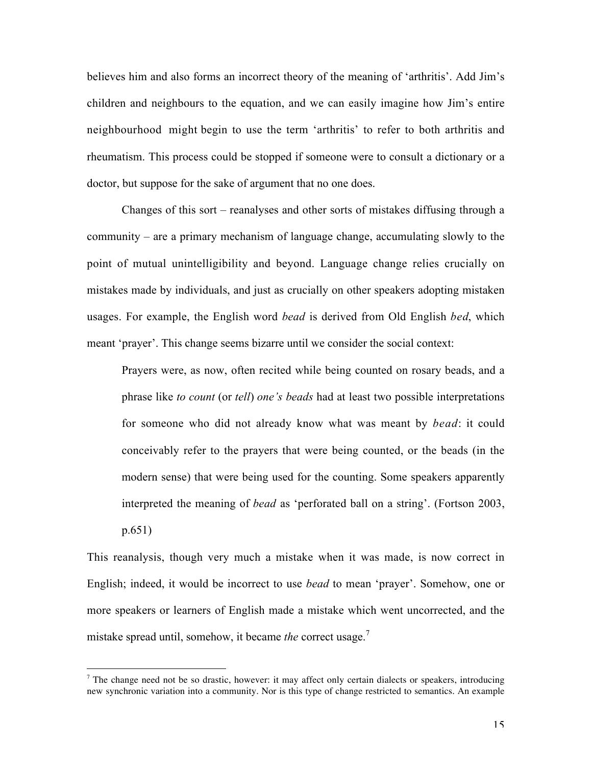believes him and also forms an incorrect theory of the meaning of 'arthritis'. Add Jim's children and neighbours to the equation, and we can easily imagine how Jim's entire neighbourhood might begin to use the term 'arthritis' to refer to both arthritis and rheumatism. This process could be stopped if someone were to consult a dictionary or a doctor, but suppose for the sake of argument that no one does.

Changes of this sort – reanalyses and other sorts of mistakes diffusing through a community – are a primary mechanism of language change, accumulating slowly to the point of mutual unintelligibility and beyond. Language change relies crucially on mistakes made by individuals, and just as crucially on other speakers adopting mistaken usages. For example, the English word *bead* is derived from Old English *bed*, which meant 'prayer'. This change seems bizarre until we consider the social context:

Prayers were, as now, often recited while being counted on rosary beads, and a phrase like *to count* (or *tell*) *one's beads* had at least two possible interpretations for someone who did not already know what was meant by *bead*: it could conceivably refer to the prayers that were being counted, or the beads (in the modern sense) that were being used for the counting. Some speakers apparently interpreted the meaning of *bead* as 'perforated ball on a string'. (Fortson 2003, p.651)

This reanalysis, though very much a mistake when it was made, is now correct in English; indeed, it would be incorrect to use *bead* to mean 'prayer'. Somehow, one or more speakers or learners of English made a mistake which went uncorrected, and the mistake spread until, somehow, it became *the* correct usage.<sup>7</sup>

 $7$  The change need not be so drastic, however: it may affect only certain dialects or speakers, introducing new synchronic variation into a community. Nor is this type of change restricted to semantics. An example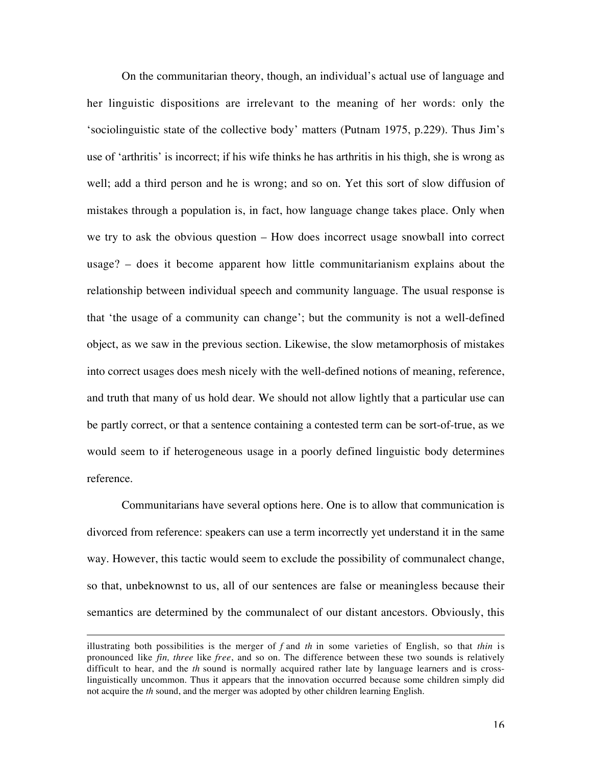On the communitarian theory, though, an individual's actual use of language and her linguistic dispositions are irrelevant to the meaning of her words: only the 'sociolinguistic state of the collective body' matters (Putnam 1975, p.229). Thus Jim's use of 'arthritis' is incorrect; if his wife thinks he has arthritis in his thigh, she is wrong as well; add a third person and he is wrong; and so on. Yet this sort of slow diffusion of mistakes through a population is, in fact, how language change takes place. Only when we try to ask the obvious question – How does incorrect usage snowball into correct usage? – does it become apparent how little communitarianism explains about the relationship between individual speech and community language. The usual response is that 'the usage of a community can change'; but the community is not a well-defined object, as we saw in the previous section. Likewise, the slow metamorphosis of mistakes into correct usages does mesh nicely with the well-defined notions of meaning, reference, and truth that many of us hold dear. We should not allow lightly that a particular use can be partly correct, or that a sentence containing a contested term can be sort-of-true, as we would seem to if heterogeneous usage in a poorly defined linguistic body determines reference.

Communitarians have several options here. One is to allow that communication is divorced from reference: speakers can use a term incorrectly yet understand it in the same way. However, this tactic would seem to exclude the possibility of communalect change, so that, unbeknownst to us, all of our sentences are false or meaningless because their semantics are determined by the communalect of our distant ancestors. Obviously, this

illustrating both possibilities is the merger of *f* and *th* in some varieties of English, so that *thin* is pronounced like *fin, three* like *free*, and so on. The difference between these two sounds is relatively difficult to hear, and the *th* sound is normally acquired rather late by language learners and is crosslinguistically uncommon. Thus it appears that the innovation occurred because some children simply did not acquire the *th* sound, and the merger was adopted by other children learning English.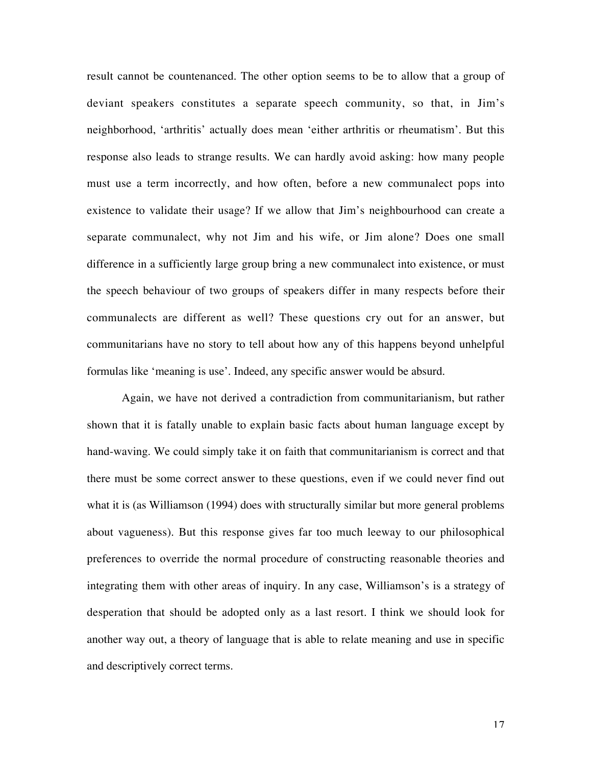result cannot be countenanced. The other option seems to be to allow that a group of deviant speakers constitutes a separate speech community, so that, in Jim's neighborhood, 'arthritis' actually does mean 'either arthritis or rheumatism'. But this response also leads to strange results. We can hardly avoid asking: how many people must use a term incorrectly, and how often, before a new communalect pops into existence to validate their usage? If we allow that Jim's neighbourhood can create a separate communalect, why not Jim and his wife, or Jim alone? Does one small difference in a sufficiently large group bring a new communalect into existence, or must the speech behaviour of two groups of speakers differ in many respects before their communalects are different as well? These questions cry out for an answer, but communitarians have no story to tell about how any of this happens beyond unhelpful formulas like 'meaning is use'. Indeed, any specific answer would be absurd.

Again, we have not derived a contradiction from communitarianism, but rather shown that it is fatally unable to explain basic facts about human language except by hand-waving. We could simply take it on faith that communitarianism is correct and that there must be some correct answer to these questions, even if we could never find out what it is (as Williamson (1994) does with structurally similar but more general problems about vagueness). But this response gives far too much leeway to our philosophical preferences to override the normal procedure of constructing reasonable theories and integrating them with other areas of inquiry. In any case, Williamson's is a strategy of desperation that should be adopted only as a last resort. I think we should look for another way out, a theory of language that is able to relate meaning and use in specific and descriptively correct terms.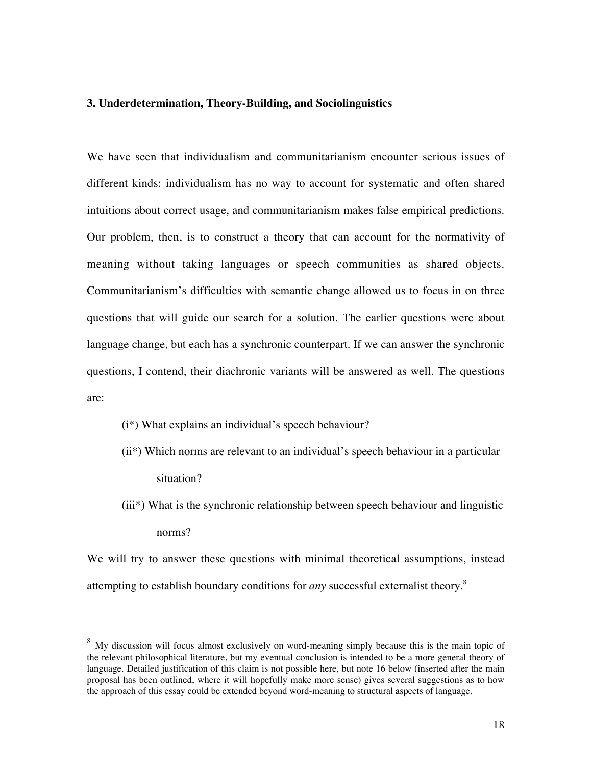### **3. Underdetermination, Theory-Building, and Sociolinguistics**

We have seen that individualism and communitarianism encounter serious issues of different kinds: individualism has no way to account for systematic and often shared intuitions about correct usage, and communitarianism makes false empirical predictions. Our problem, then, is to construct a theory that can account for the normativity of meaning without taking languages or speech communities as shared objects. Communitarianism's difficulties with semantic change allowed us to focus in on three questions that will guide our search for a solution. The earlier questions were about language change, but each has a synchronic counterpart. If we can answer the synchronic questions, I contend, their diachronic variants will be answered as well. The questions are:

- (i\*) What explains an individual's speech behaviour?
- (ii\*) Which norms are relevant to an individual's speech behaviour in a particular situation?
- (iii\*) What is the synchronic relationship between speech behaviour and linguistic norms?

We will try to answer these questions with minimal theoretical assumptions, instead attempting to establish boundary conditions for *any* successful externalist theory.<sup>8</sup>

 <sup>8</sup> My discussion will focus almost exclusively on word-meaning simply because this is the main topic of the relevant philosophical literature, but my eventual conclusion is intended to be a more general theory of language. Detailed justification of this claim is not possible here, but note 16 below (inserted after the main proposal has been outlined, where it will hopefully make more sense) gives several suggestions as to how the approach of this essay could be extended beyond word-meaning to structural aspects of language.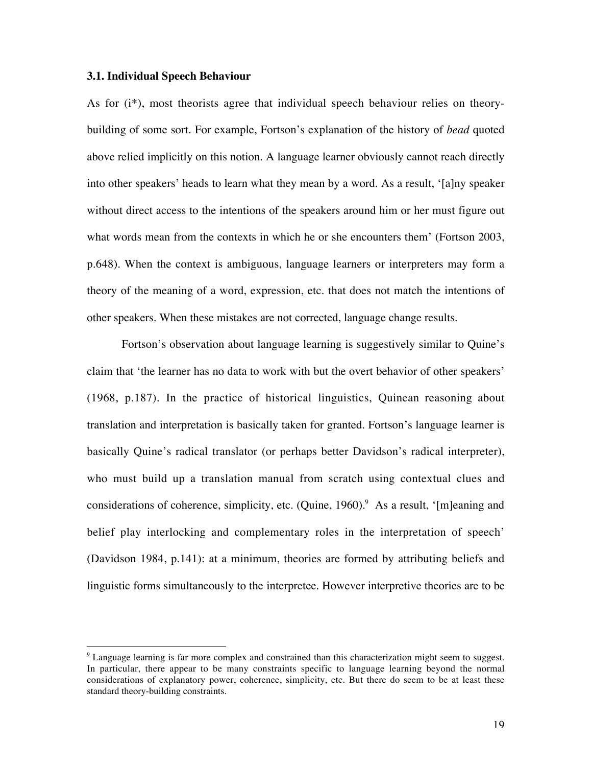### **3.1. Individual Speech Behaviour**

 $\overline{a}$ 

As for (i\*), most theorists agree that individual speech behaviour relies on theorybuilding of some sort. For example, Fortson's explanation of the history of *bead* quoted above relied implicitly on this notion. A language learner obviously cannot reach directly into other speakers' heads to learn what they mean by a word. As a result, '[a]ny speaker without direct access to the intentions of the speakers around him or her must figure out what words mean from the contexts in which he or she encounters them' (Fortson 2003, p.648). When the context is ambiguous, language learners or interpreters may form a theory of the meaning of a word, expression, etc. that does not match the intentions of other speakers. When these mistakes are not corrected, language change results.

Fortson's observation about language learning is suggestively similar to Quine's claim that 'the learner has no data to work with but the overt behavior of other speakers' (1968, p.187). In the practice of historical linguistics, Quinean reasoning about translation and interpretation is basically taken for granted. Fortson's language learner is basically Quine's radical translator (or perhaps better Davidson's radical interpreter), who must build up a translation manual from scratch using contextual clues and considerations of coherence, simplicity, etc. (Quine, 1960).<sup>9</sup> As a result, '[m]eaning and belief play interlocking and complementary roles in the interpretation of speech' (Davidson 1984, p.141): at a minimum, theories are formed by attributing beliefs and linguistic forms simultaneously to the interpretee. However interpretive theories are to be

<sup>&</sup>lt;sup>9</sup> Language learning is far more complex and constrained than this characterization might seem to suggest. In particular, there appear to be many constraints specific to language learning beyond the normal considerations of explanatory power, coherence, simplicity, etc. But there do seem to be at least these standard theory-building constraints.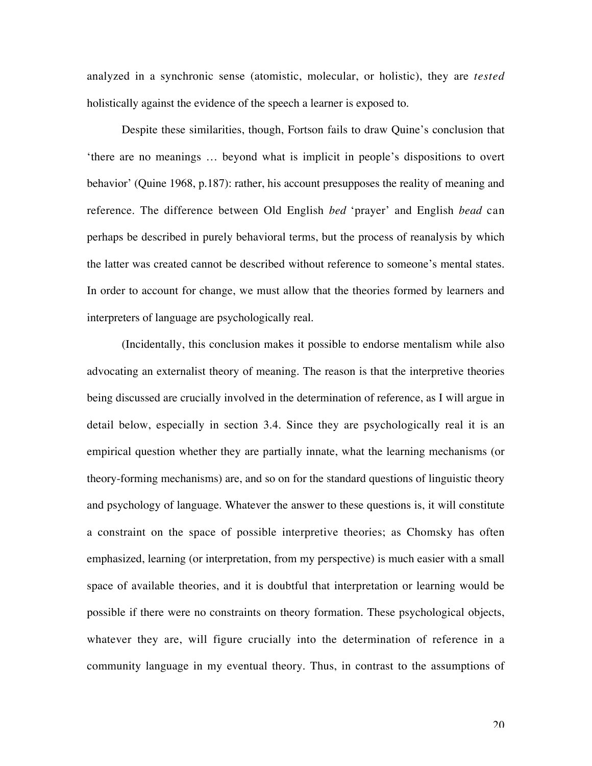analyzed in a synchronic sense (atomistic, molecular, or holistic), they are *tested* holistically against the evidence of the speech a learner is exposed to.

Despite these similarities, though, Fortson fails to draw Quine's conclusion that 'there are no meanings … beyond what is implicit in people's dispositions to overt behavior' (Quine 1968, p.187): rather, his account presupposes the reality of meaning and reference. The difference between Old English *bed* 'prayer' and English *bead* can perhaps be described in purely behavioral terms, but the process of reanalysis by which the latter was created cannot be described without reference to someone's mental states. In order to account for change, we must allow that the theories formed by learners and interpreters of language are psychologically real.

(Incidentally, this conclusion makes it possible to endorse mentalism while also advocating an externalist theory of meaning. The reason is that the interpretive theories being discussed are crucially involved in the determination of reference, as I will argue in detail below, especially in section 3.4. Since they are psychologically real it is an empirical question whether they are partially innate, what the learning mechanisms (or theory-forming mechanisms) are, and so on for the standard questions of linguistic theory and psychology of language. Whatever the answer to these questions is, it will constitute a constraint on the space of possible interpretive theories; as Chomsky has often emphasized, learning (or interpretation, from my perspective) is much easier with a small space of available theories, and it is doubtful that interpretation or learning would be possible if there were no constraints on theory formation. These psychological objects, whatever they are, will figure crucially into the determination of reference in a community language in my eventual theory. Thus, in contrast to the assumptions of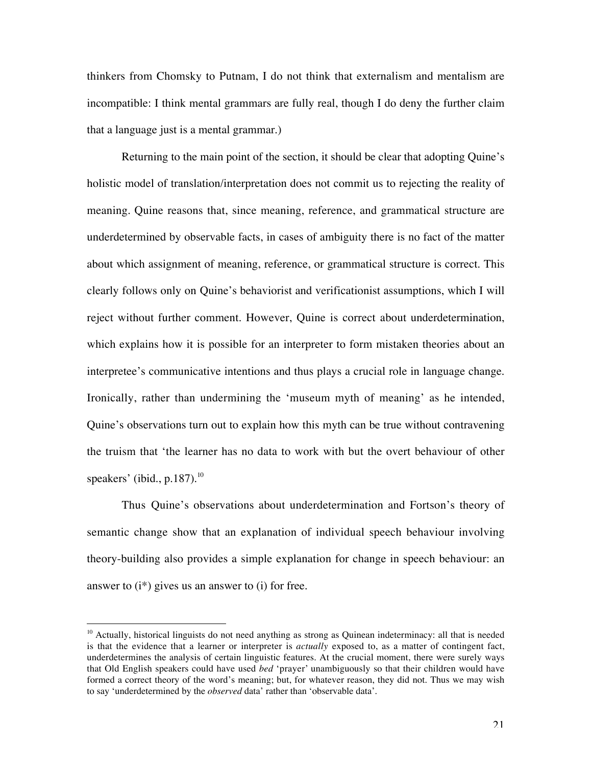thinkers from Chomsky to Putnam, I do not think that externalism and mentalism are incompatible: I think mental grammars are fully real, though I do deny the further claim that a language just is a mental grammar.)

Returning to the main point of the section, it should be clear that adopting Quine's holistic model of translation/interpretation does not commit us to rejecting the reality of meaning. Quine reasons that, since meaning, reference, and grammatical structure are underdetermined by observable facts, in cases of ambiguity there is no fact of the matter about which assignment of meaning, reference, or grammatical structure is correct. This clearly follows only on Quine's behaviorist and verificationist assumptions, which I will reject without further comment. However, Quine is correct about underdetermination, which explains how it is possible for an interpreter to form mistaken theories about an interpretee's communicative intentions and thus plays a crucial role in language change. Ironically, rather than undermining the 'museum myth of meaning' as he intended, Quine's observations turn out to explain how this myth can be true without contravening the truism that 'the learner has no data to work with but the overt behaviour of other speakers' (ibid., p.187). $^{10}$ 

Thus Quine's observations about underdetermination and Fortson's theory of semantic change show that an explanation of individual speech behaviour involving theory-building also provides a simple explanation for change in speech behaviour: an answer to  $(i^*)$  gives us an answer to  $(i)$  for free.

<sup>&</sup>lt;sup>10</sup> Actually, historical linguists do not need anything as strong as Quinean indeterminacy: all that is needed is that the evidence that a learner or interpreter is *actually* exposed to, as a matter of contingent fact, underdetermines the analysis of certain linguistic features. At the crucial moment, there were surely ways that Old English speakers could have used *bed* 'prayer' unambiguously so that their children would have formed a correct theory of the word's meaning; but, for whatever reason, they did not. Thus we may wish to say 'underdetermined by the *observed* data' rather than 'observable data'.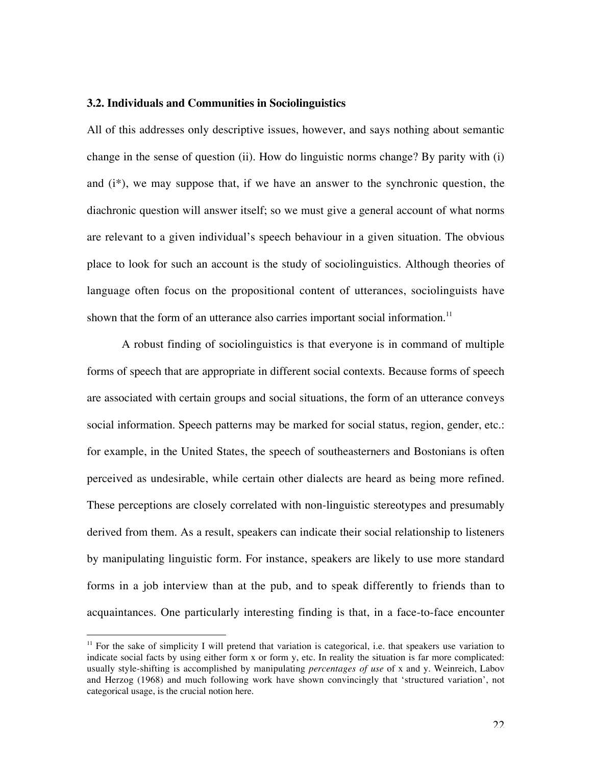#### **3.2. Individuals and Communities in Sociolinguistics**

All of this addresses only descriptive issues, however, and says nothing about semantic change in the sense of question (ii). How do linguistic norms change? By parity with (i) and (i\*), we may suppose that, if we have an answer to the synchronic question, the diachronic question will answer itself; so we must give a general account of what norms are relevant to a given individual's speech behaviour in a given situation. The obvious place to look for such an account is the study of sociolinguistics. Although theories of language often focus on the propositional content of utterances, sociolinguists have shown that the form of an utterance also carries important social information.<sup>11</sup>

A robust finding of sociolinguistics is that everyone is in command of multiple forms of speech that are appropriate in different social contexts. Because forms of speech are associated with certain groups and social situations, the form of an utterance conveys social information. Speech patterns may be marked for social status, region, gender, etc.: for example, in the United States, the speech of southeasterners and Bostonians is often perceived as undesirable, while certain other dialects are heard as being more refined. These perceptions are closely correlated with non-linguistic stereotypes and presumably derived from them. As a result, speakers can indicate their social relationship to listeners by manipulating linguistic form. For instance, speakers are likely to use more standard forms in a job interview than at the pub, and to speak differently to friends than to acquaintances. One particularly interesting finding is that, in a face-to-face encounter

<sup>&</sup>lt;sup>11</sup> For the sake of simplicity I will pretend that variation is categorical, i.e. that speakers use variation to indicate social facts by using either form x or form y, etc. In reality the situation is far more complicated: usually style-shifting is accomplished by manipulating *percentages of use* of x and y. Weinreich, Labov and Herzog (1968) and much following work have shown convincingly that 'structured variation', not categorical usage, is the crucial notion here.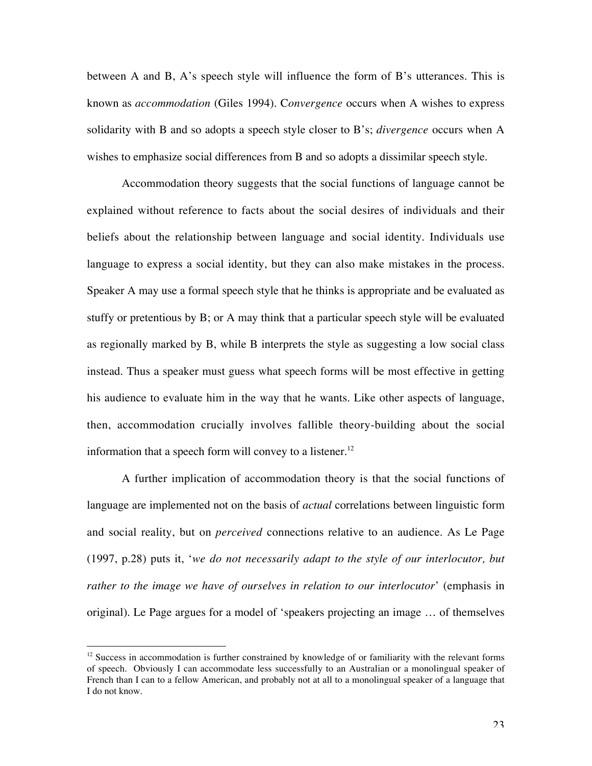between A and B, A's speech style will influence the form of B's utterances. This is known as *accommodation* (Giles 1994). C*onvergence* occurs when A wishes to express solidarity with B and so adopts a speech style closer to B's; *divergence* occurs when A wishes to emphasize social differences from B and so adopts a dissimilar speech style.

Accommodation theory suggests that the social functions of language cannot be explained without reference to facts about the social desires of individuals and their beliefs about the relationship between language and social identity. Individuals use language to express a social identity, but they can also make mistakes in the process. Speaker A may use a formal speech style that he thinks is appropriate and be evaluated as stuffy or pretentious by B; or A may think that a particular speech style will be evaluated as regionally marked by B, while B interprets the style as suggesting a low social class instead. Thus a speaker must guess what speech forms will be most effective in getting his audience to evaluate him in the way that he wants. Like other aspects of language, then, accommodation crucially involves fallible theory-building about the social information that a speech form will convey to a listener.<sup>12</sup>

A further implication of accommodation theory is that the social functions of language are implemented not on the basis of *actual* correlations between linguistic form and social reality, but on *perceived* connections relative to an audience. As Le Page (1997, p.28) puts it, '*we do not necessarily adapt to the style of our interlocutor, but rather to the image we have of ourselves in relation to our interlocutor*' (emphasis in original). Le Page argues for a model of 'speakers projecting an image … of themselves

 $12$  Success in accommodation is further constrained by knowledge of or familiarity with the relevant forms of speech. Obviously I can accommodate less successfully to an Australian or a monolingual speaker of French than I can to a fellow American, and probably not at all to a monolingual speaker of a language that I do not know.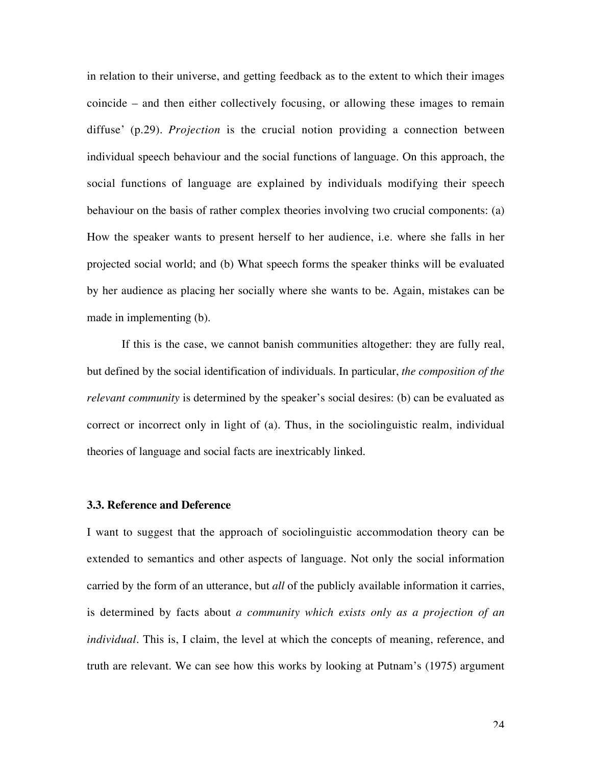in relation to their universe, and getting feedback as to the extent to which their images coincide – and then either collectively focusing, or allowing these images to remain diffuse' (p.29). *Projection* is the crucial notion providing a connection between individual speech behaviour and the social functions of language. On this approach, the social functions of language are explained by individuals modifying their speech behaviour on the basis of rather complex theories involving two crucial components: (a) How the speaker wants to present herself to her audience, i.e. where she falls in her projected social world; and (b) What speech forms the speaker thinks will be evaluated by her audience as placing her socially where she wants to be. Again, mistakes can be made in implementing (b).

If this is the case, we cannot banish communities altogether: they are fully real, but defined by the social identification of individuals. In particular, *the composition of the relevant community* is determined by the speaker's social desires: (b) can be evaluated as correct or incorrect only in light of (a). Thus, in the sociolinguistic realm, individual theories of language and social facts are inextricably linked.

#### **3.3. Reference and Deference**

I want to suggest that the approach of sociolinguistic accommodation theory can be extended to semantics and other aspects of language. Not only the social information carried by the form of an utterance, but *all* of the publicly available information it carries, is determined by facts about *a community which exists only as a projection of an individual*. This is, I claim, the level at which the concepts of meaning, reference, and truth are relevant. We can see how this works by looking at Putnam's (1975) argument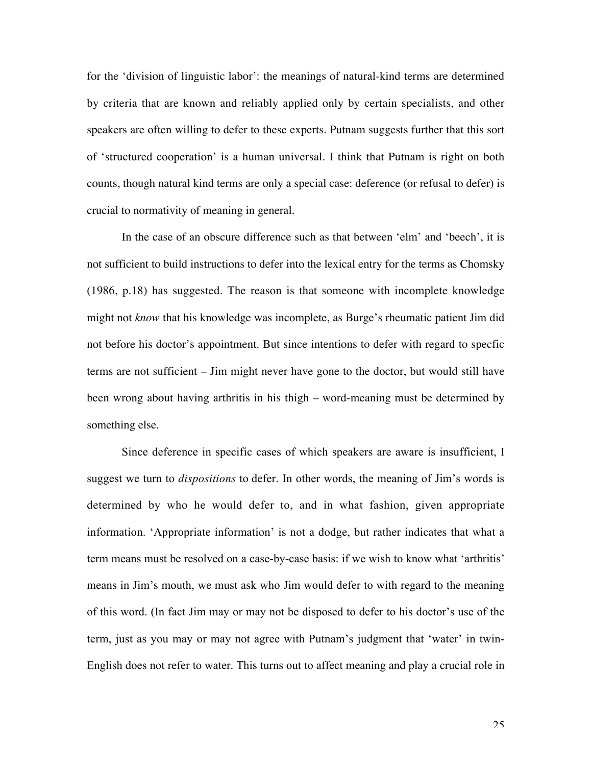for the 'division of linguistic labor': the meanings of natural-kind terms are determined by criteria that are known and reliably applied only by certain specialists, and other speakers are often willing to defer to these experts. Putnam suggests further that this sort of 'structured cooperation' is a human universal. I think that Putnam is right on both counts, though natural kind terms are only a special case: deference (or refusal to defer) is crucial to normativity of meaning in general.

In the case of an obscure difference such as that between 'elm' and 'beech', it is not sufficient to build instructions to defer into the lexical entry for the terms as Chomsky (1986, p.18) has suggested. The reason is that someone with incomplete knowledge might not *know* that his knowledge was incomplete, as Burge's rheumatic patient Jim did not before his doctor's appointment. But since intentions to defer with regard to specfic terms are not sufficient – Jim might never have gone to the doctor, but would still have been wrong about having arthritis in his thigh – word-meaning must be determined by something else.

Since deference in specific cases of which speakers are aware is insufficient, I suggest we turn to *dispositions* to defer. In other words, the meaning of Jim's words is determined by who he would defer to, and in what fashion, given appropriate information. 'Appropriate information' is not a dodge, but rather indicates that what a term means must be resolved on a case-by-case basis: if we wish to know what 'arthritis' means in Jim's mouth, we must ask who Jim would defer to with regard to the meaning of this word. (In fact Jim may or may not be disposed to defer to his doctor's use of the term, just as you may or may not agree with Putnam's judgment that 'water' in twin-English does not refer to water. This turns out to affect meaning and play a crucial role in

25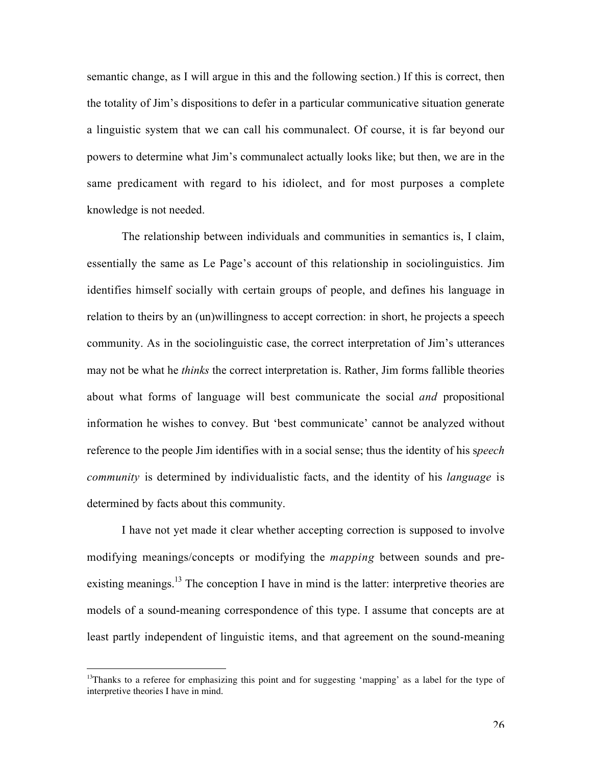semantic change, as I will argue in this and the following section.) If this is correct, then the totality of Jim's dispositions to defer in a particular communicative situation generate a linguistic system that we can call his communalect. Of course, it is far beyond our powers to determine what Jim's communalect actually looks like; but then, we are in the same predicament with regard to his idiolect, and for most purposes a complete knowledge is not needed.

The relationship between individuals and communities in semantics is, I claim, essentially the same as Le Page's account of this relationship in sociolinguistics. Jim identifies himself socially with certain groups of people, and defines his language in relation to theirs by an (un)willingness to accept correction: in short, he projects a speech community. As in the sociolinguistic case, the correct interpretation of Jim's utterances may not be what he *thinks* the correct interpretation is. Rather, Jim forms fallible theories about what forms of language will best communicate the social *and* propositional information he wishes to convey. But 'best communicate' cannot be analyzed without reference to the people Jim identifies with in a social sense; thus the identity of his s*peech community* is determined by individualistic facts, and the identity of his *language* is determined by facts about this community.

I have not yet made it clear whether accepting correction is supposed to involve modifying meanings/concepts or modifying the *mapping* between sounds and preexisting meanings.<sup>13</sup> The conception I have in mind is the latter: interpretive theories are models of a sound-meaning correspondence of this type. I assume that concepts are at least partly independent of linguistic items, and that agreement on the sound-meaning

<sup>&</sup>lt;sup>13</sup>Thanks to a referee for emphasizing this point and for suggesting 'mapping' as a label for the type of interpretive theories I have in mind.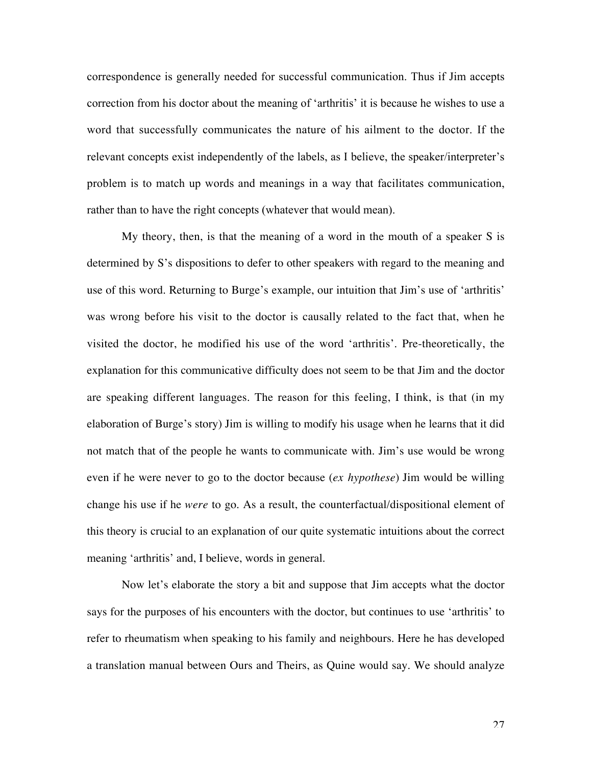correspondence is generally needed for successful communication. Thus if Jim accepts correction from his doctor about the meaning of 'arthritis' it is because he wishes to use a word that successfully communicates the nature of his ailment to the doctor. If the relevant concepts exist independently of the labels, as I believe, the speaker/interpreter's problem is to match up words and meanings in a way that facilitates communication, rather than to have the right concepts (whatever that would mean).

My theory, then, is that the meaning of a word in the mouth of a speaker S is determined by S's dispositions to defer to other speakers with regard to the meaning and use of this word. Returning to Burge's example, our intuition that Jim's use of 'arthritis' was wrong before his visit to the doctor is causally related to the fact that, when he visited the doctor, he modified his use of the word 'arthritis'. Pre-theoretically, the explanation for this communicative difficulty does not seem to be that Jim and the doctor are speaking different languages. The reason for this feeling, I think, is that (in my elaboration of Burge's story) Jim is willing to modify his usage when he learns that it did not match that of the people he wants to communicate with. Jim's use would be wrong even if he were never to go to the doctor because (*ex hypothese*) Jim would be willing change his use if he *were* to go. As a result, the counterfactual/dispositional element of this theory is crucial to an explanation of our quite systematic intuitions about the correct meaning 'arthritis' and, I believe, words in general.

Now let's elaborate the story a bit and suppose that Jim accepts what the doctor says for the purposes of his encounters with the doctor, but continues to use 'arthritis' to refer to rheumatism when speaking to his family and neighbours. Here he has developed a translation manual between Ours and Theirs, as Quine would say. We should analyze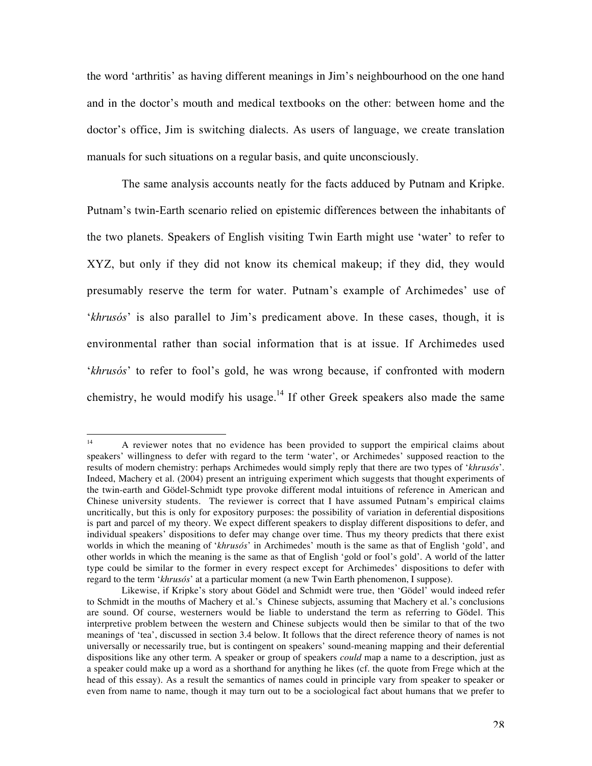the word 'arthritis' as having different meanings in Jim's neighbourhood on the one hand and in the doctor's mouth and medical textbooks on the other: between home and the doctor's office, Jim is switching dialects. As users of language, we create translation manuals for such situations on a regular basis, and quite unconsciously.

The same analysis accounts neatly for the facts adduced by Putnam and Kripke. Putnam's twin-Earth scenario relied on epistemic differences between the inhabitants of the two planets. Speakers of English visiting Twin Earth might use 'water' to refer to XYZ, but only if they did not know its chemical makeup; if they did, they would presumably reserve the term for water. Putnam's example of Archimedes' use of '*khrusós*' is also parallel to Jim's predicament above. In these cases, though, it is environmental rather than social information that is at issue. If Archimedes used '*khrusós*' to refer to fool's gold, he was wrong because, if confronted with modern chemistry, he would modify his usage.<sup>14</sup> If other Greek speakers also made the same

 $14<sup>1</sup>$ <sup>14</sup> A reviewer notes that no evidence has been provided to support the empirical claims about speakers' willingness to defer with regard to the term 'water', or Archimedes' supposed reaction to the results of modern chemistry: perhaps Archimedes would simply reply that there are two types of '*khrusós*'. Indeed, Machery et al. (2004) present an intriguing experiment which suggests that thought experiments of the twin-earth and Gödel-Schmidt type provoke different modal intuitions of reference in American and Chinese university students. The reviewer is correct that I have assumed Putnam's empirical claims uncritically, but this is only for expository purposes: the possibility of variation in deferential dispositions is part and parcel of my theory. We expect different speakers to display different dispositions to defer, and individual speakers' dispositions to defer may change over time. Thus my theory predicts that there exist worlds in which the meaning of '*khrusós*' in Archimedes' mouth is the same as that of English 'gold', and other worlds in which the meaning is the same as that of English 'gold or fool's gold'. A world of the latter type could be similar to the former in every respect except for Archimedes' dispositions to defer with regard to the term '*khrusós*' at a particular moment (a new Twin Earth phenomenon, I suppose).

Likewise, if Kripke's story about Gödel and Schmidt were true, then 'Gödel' would indeed refer to Schmidt in the mouths of Machery et al.'s Chinese subjects, assuming that Machery et al.'s conclusions are sound. Of course, westerners would be liable to understand the term as referring to Gödel. This interpretive problem between the western and Chinese subjects would then be similar to that of the two meanings of 'tea', discussed in section 3.4 below. It follows that the direct reference theory of names is not universally or necessarily true, but is contingent on speakers' sound-meaning mapping and their deferential dispositions like any other term. A speaker or group of speakers *could* map a name to a description, just as a speaker could make up a word as a shorthand for anything he likes (cf. the quote from Frege which at the head of this essay). As a result the semantics of names could in principle vary from speaker to speaker or even from name to name, though it may turn out to be a sociological fact about humans that we prefer to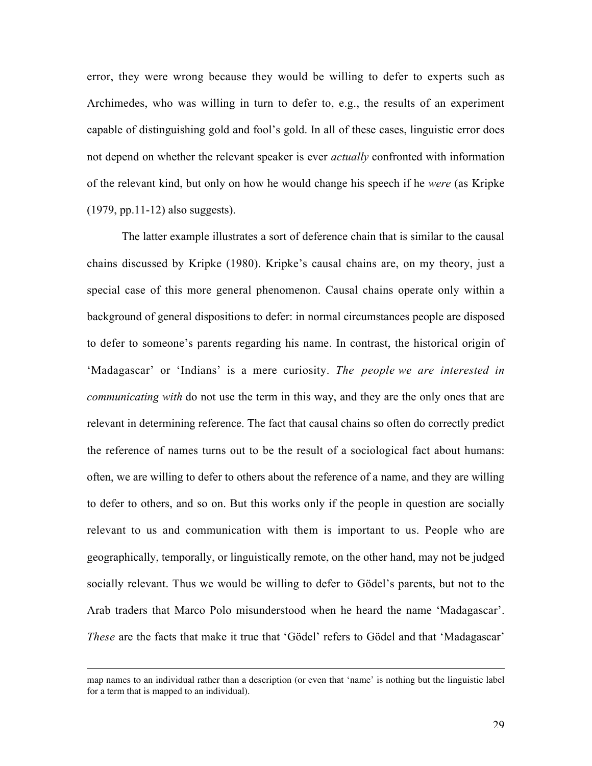error, they were wrong because they would be willing to defer to experts such as Archimedes, who was willing in turn to defer to, e.g., the results of an experiment capable of distinguishing gold and fool's gold. In all of these cases, linguistic error does not depend on whether the relevant speaker is ever *actually* confronted with information of the relevant kind, but only on how he would change his speech if he *were* (as Kripke (1979, pp.11-12) also suggests).

The latter example illustrates a sort of deference chain that is similar to the causal chains discussed by Kripke (1980). Kripke's causal chains are, on my theory, just a special case of this more general phenomenon. Causal chains operate only within a background of general dispositions to defer: in normal circumstances people are disposed to defer to someone's parents regarding his name. In contrast, the historical origin of 'Madagascar' or 'Indians' is a mere curiosity. *The people we are interested in communicating with* do not use the term in this way, and they are the only ones that are relevant in determining reference. The fact that causal chains so often do correctly predict the reference of names turns out to be the result of a sociological fact about humans: often, we are willing to defer to others about the reference of a name, and they are willing to defer to others, and so on. But this works only if the people in question are socially relevant to us and communication with them is important to us. People who are geographically, temporally, or linguistically remote, on the other hand, may not be judged socially relevant. Thus we would be willing to defer to Gödel's parents, but not to the Arab traders that Marco Polo misunderstood when he heard the name 'Madagascar'. *These* are the facts that make it true that 'Gödel' refers to Gödel and that 'Madagascar'

map names to an individual rather than a description (or even that 'name' is nothing but the linguistic label for a term that is mapped to an individual).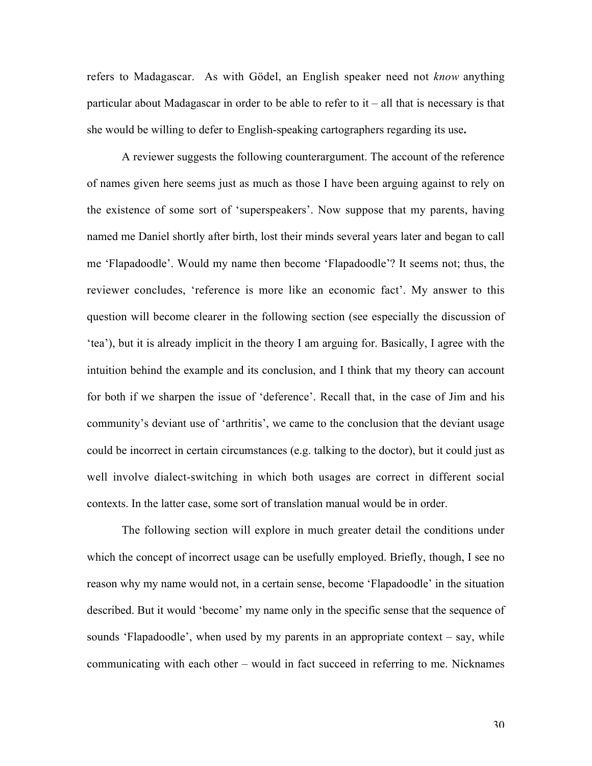refers to Madagascar. As with Gödel, an English speaker need not *know* anything particular about Madagascar in order to be able to refer to it – all that is necessary is that she would be willing to defer to English-speaking cartographers regarding its use**.**

A reviewer suggests the following counterargument. The account of the reference of names given here seems just as much as those I have been arguing against to rely on the existence of some sort of 'superspeakers'. Now suppose that my parents, having named me Daniel shortly after birth, lost their minds several years later and began to call me 'Flapadoodle'. Would my name then become 'Flapadoodle'? It seems not; thus, the reviewer concludes, 'reference is more like an economic fact'. My answer to this question will become clearer in the following section (see especially the discussion of 'tea'), but it is already implicit in the theory I am arguing for. Basically, I agree with the intuition behind the example and its conclusion, and I think that my theory can account for both if we sharpen the issue of 'deference'. Recall that, in the case of Jim and his community's deviant use of 'arthritis', we came to the conclusion that the deviant usage could be incorrect in certain circumstances (e.g. talking to the doctor), but it could just as well involve dialect-switching in which both usages are correct in different social contexts. In the latter case, some sort of translation manual would be in order.

The following section will explore in much greater detail the conditions under which the concept of incorrect usage can be usefully employed. Briefly, though, I see no reason why my name would not, in a certain sense, become 'Flapadoodle' in the situation described. But it would 'become' my name only in the specific sense that the sequence of sounds 'Flapadoodle', when used by my parents in an appropriate context – say, while communicating with each other – would in fact succeed in referring to me. Nicknames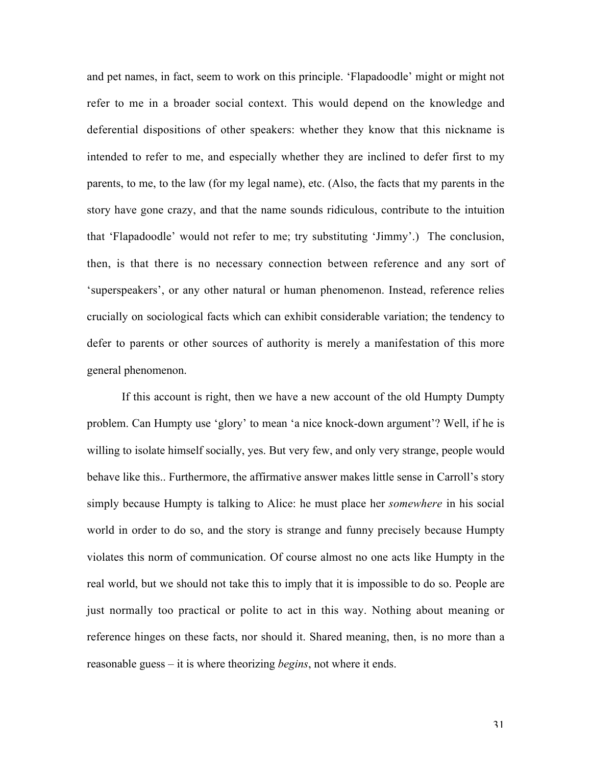and pet names, in fact, seem to work on this principle. 'Flapadoodle' might or might not refer to me in a broader social context. This would depend on the knowledge and deferential dispositions of other speakers: whether they know that this nickname is intended to refer to me, and especially whether they are inclined to defer first to my parents, to me, to the law (for my legal name), etc. (Also, the facts that my parents in the story have gone crazy, and that the name sounds ridiculous, contribute to the intuition that 'Flapadoodle' would not refer to me; try substituting 'Jimmy'.) The conclusion, then, is that there is no necessary connection between reference and any sort of 'superspeakers', or any other natural or human phenomenon. Instead, reference relies crucially on sociological facts which can exhibit considerable variation; the tendency to defer to parents or other sources of authority is merely a manifestation of this more general phenomenon.

If this account is right, then we have a new account of the old Humpty Dumpty problem. Can Humpty use 'glory' to mean 'a nice knock-down argument'? Well, if he is willing to isolate himself socially, yes. But very few, and only very strange, people would behave like this.. Furthermore, the affirmative answer makes little sense in Carroll's story simply because Humpty is talking to Alice: he must place her *somewhere* in his social world in order to do so, and the story is strange and funny precisely because Humpty violates this norm of communication. Of course almost no one acts like Humpty in the real world, but we should not take this to imply that it is impossible to do so. People are just normally too practical or polite to act in this way. Nothing about meaning or reference hinges on these facts, nor should it. Shared meaning, then, is no more than a reasonable guess – it is where theorizing *begins*, not where it ends.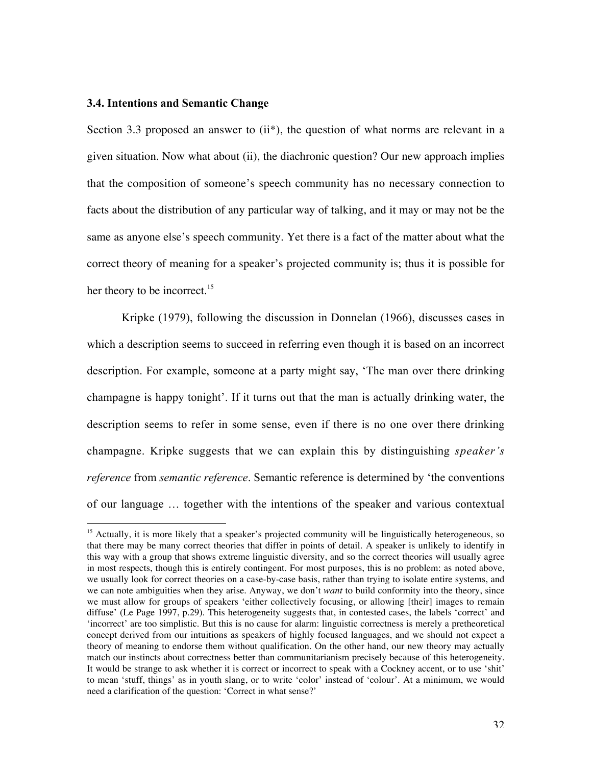## **3.4. Intentions and Semantic Change**

 $\overline{a}$ 

Section 3.3 proposed an answer to  $(ii^*)$ , the question of what norms are relevant in a given situation. Now what about (ii), the diachronic question? Our new approach implies that the composition of someone's speech community has no necessary connection to facts about the distribution of any particular way of talking, and it may or may not be the same as anyone else's speech community. Yet there is a fact of the matter about what the correct theory of meaning for a speaker's projected community is; thus it is possible for her theory to be incorrect.<sup>15</sup>

Kripke (1979), following the discussion in Donnelan (1966), discusses cases in which a description seems to succeed in referring even though it is based on an incorrect description. For example, someone at a party might say, 'The man over there drinking champagne is happy tonight'. If it turns out that the man is actually drinking water, the description seems to refer in some sense, even if there is no one over there drinking champagne. Kripke suggests that we can explain this by distinguishing *speaker's reference* from *semantic reference*. Semantic reference is determined by 'the conventions of our language … together with the intentions of the speaker and various contextual

<sup>&</sup>lt;sup>15</sup> Actually, it is more likely that a speaker's projected community will be linguistically heterogeneous, so that there may be many correct theories that differ in points of detail. A speaker is unlikely to identify in this way with a group that shows extreme linguistic diversity, and so the correct theories will usually agree in most respects, though this is entirely contingent. For most purposes, this is no problem: as noted above, we usually look for correct theories on a case-by-case basis, rather than trying to isolate entire systems, and we can note ambiguities when they arise. Anyway, we don't *want* to build conformity into the theory, since we must allow for groups of speakers 'either collectively focusing, or allowing [their] images to remain diffuse' (Le Page 1997, p.29). This heterogeneity suggests that, in contested cases, the labels 'correct' and 'incorrect' are too simplistic. But this is no cause for alarm: linguistic correctness is merely a pretheoretical concept derived from our intuitions as speakers of highly focused languages, and we should not expect a theory of meaning to endorse them without qualification. On the other hand, our new theory may actually match our instincts about correctness better than communitarianism precisely because of this heterogeneity. It would be strange to ask whether it is correct or incorrect to speak with a Cockney accent, or to use 'shit' to mean 'stuff, things' as in youth slang, or to write 'color' instead of 'colour'. At a minimum, we would need a clarification of the question: 'Correct in what sense?'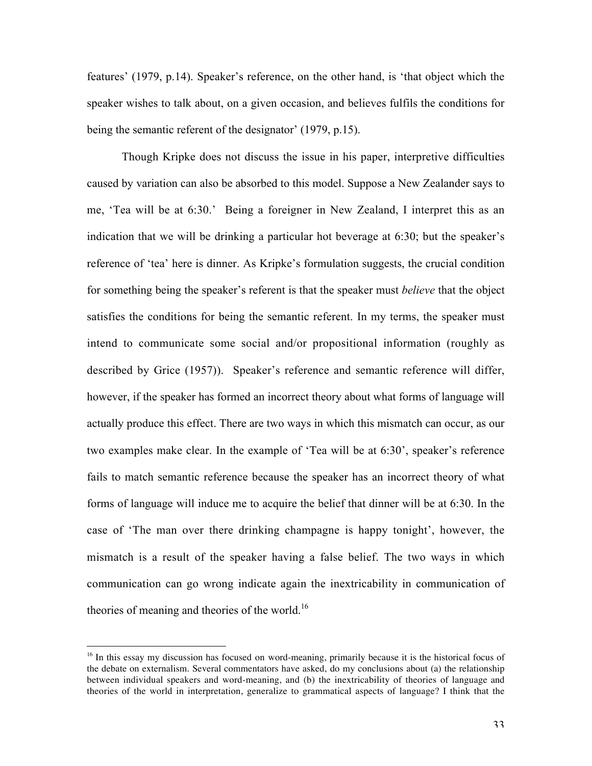features' (1979, p.14). Speaker's reference, on the other hand, is 'that object which the speaker wishes to talk about, on a given occasion, and believes fulfils the conditions for being the semantic referent of the designator' (1979, p.15).

Though Kripke does not discuss the issue in his paper, interpretive difficulties caused by variation can also be absorbed to this model. Suppose a New Zealander says to me, 'Tea will be at 6:30.' Being a foreigner in New Zealand, I interpret this as an indication that we will be drinking a particular hot beverage at 6:30; but the speaker's reference of 'tea' here is dinner. As Kripke's formulation suggests, the crucial condition for something being the speaker's referent is that the speaker must *believe* that the object satisfies the conditions for being the semantic referent. In my terms, the speaker must intend to communicate some social and/or propositional information (roughly as described by Grice (1957)). Speaker's reference and semantic reference will differ, however, if the speaker has formed an incorrect theory about what forms of language will actually produce this effect. There are two ways in which this mismatch can occur, as our two examples make clear. In the example of 'Tea will be at 6:30', speaker's reference fails to match semantic reference because the speaker has an incorrect theory of what forms of language will induce me to acquire the belief that dinner will be at 6:30. In the case of 'The man over there drinking champagne is happy tonight', however, the mismatch is a result of the speaker having a false belief. The two ways in which communication can go wrong indicate again the inextricability in communication of theories of meaning and theories of the world.<sup>16</sup>

<sup>&</sup>lt;sup>16</sup> In this essay my discussion has focused on word-meaning, primarily because it is the historical focus of the debate on externalism. Several commentators have asked, do my conclusions about (a) the relationship between individual speakers and word-meaning, and (b) the inextricability of theories of language and theories of the world in interpretation, generalize to grammatical aspects of language? I think that the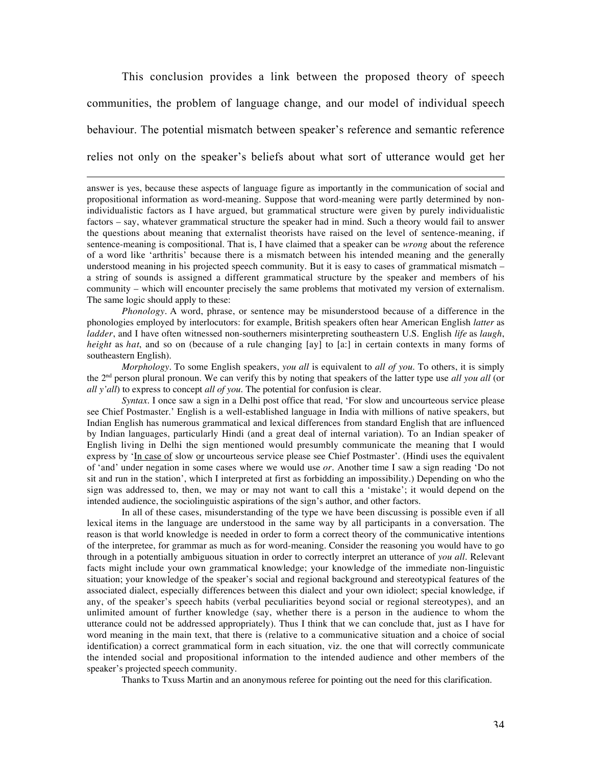This conclusion provides a link between the proposed theory of speech communities, the problem of language change, and our model of individual speech behaviour. The potential mismatch between speaker's reference and semantic reference relies not only on the speaker's beliefs about what sort of utterance would get her

 $\overline{a}$ 

*Phonology*. A word, phrase, or sentence may be misunderstood because of a difference in the phonologies employed by interlocutors: for example, British speakers often hear American English *latter* as *ladder*, and I have often witnessed non-southerners misinterpreting southeastern U.S. English *life* as *laugh*, *height* as *hat*, and so on (because of a rule changing [ay] to [a:] in certain contexts in many forms of southeastern English).

*Morphology.* To some English speakers, *you all* is equivalent to *all of you*. To others, it is simply the 2nd person plural pronoun. We can verify this by noting that speakers of the latter type use *all you all* (or *all y'all*) to express to concept *all of you*. The potential for confusion is clear.

*Syntax.* I once saw a sign in a Delhi post office that read, 'For slow and uncourteous service please see Chief Postmaster.' English is a well-established language in India with millions of native speakers, but Indian English has numerous grammatical and lexical differences from standard English that are influenced by Indian languages, particularly Hindi (and a great deal of internal variation). To an Indian speaker of English living in Delhi the sign mentioned would presumbly communicate the meaning that I would express by 'In case of slow or uncourteous service please see Chief Postmaster'. (Hindi uses the equivalent of 'and' under negation in some cases where we would use *or*. Another time I saw a sign reading 'Do not sit and run in the station', which I interpreted at first as forbidding an impossibility.) Depending on who the sign was addressed to, then, we may or may not want to call this a 'mistake'; it would depend on the intended audience, the sociolinguistic aspirations of the sign's author, and other factors.

In all of these cases, misunderstanding of the type we have been discussing is possible even if all lexical items in the language are understood in the same way by all participants in a conversation. The reason is that world knowledge is needed in order to form a correct theory of the communicative intentions of the interpretee, for grammar as much as for word-meaning. Consider the reasoning you would have to go through in a potentially ambiguous situation in order to correctly interpret an utterance of *you all*. Relevant facts might include your own grammatical knowledge; your knowledge of the immediate non-linguistic situation; your knowledge of the speaker's social and regional background and stereotypical features of the associated dialect, especially differences between this dialect and your own idiolect; special knowledge, if any, of the speaker's speech habits (verbal peculiarities beyond social or regional stereotypes), and an unlimited amount of further knowledge (say, whether there is a person in the audience to whom the utterance could not be addressed appropriately). Thus I think that we can conclude that, just as I have for word meaning in the main text, that there is (relative to a communicative situation and a choice of social identification) a correct grammatical form in each situation, viz. the one that will correctly communicate the intended social and propositional information to the intended audience and other members of the speaker's projected speech community.

Thanks to Txuss Martin and an anonymous referee for pointing out the need for this clarification.

answer is yes, because these aspects of language figure as importantly in the communication of social and propositional information as word-meaning. Suppose that word-meaning were partly determined by nonindividualistic factors as I have argued, but grammatical structure were given by purely individualistic factors – say, whatever grammatical structure the speaker had in mind. Such a theory would fail to answer the questions about meaning that externalist theorists have raised on the level of sentence-meaning, if sentence-meaning is compositional. That is, I have claimed that a speaker can be *wrong* about the reference of a word like 'arthritis' because there is a mismatch between his intended meaning and the generally understood meaning in his projected speech community. But it is easy to cases of grammatical mismatch – a string of sounds is assigned a different grammatical structure by the speaker and members of his community – which will encounter precisely the same problems that motivated my version of externalism. The same logic should apply to these: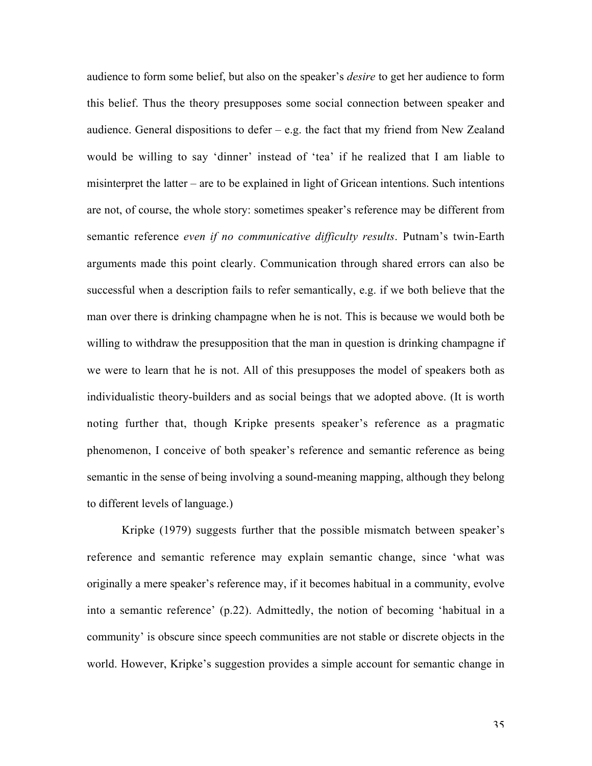audience to form some belief, but also on the speaker's *desire* to get her audience to form this belief. Thus the theory presupposes some social connection between speaker and audience. General dispositions to defer  $-$  e.g. the fact that my friend from New Zealand would be willing to say 'dinner' instead of 'tea' if he realized that I am liable to misinterpret the latter – are to be explained in light of Gricean intentions. Such intentions are not, of course, the whole story: sometimes speaker's reference may be different from semantic reference *even if no communicative difficulty results*. Putnam's twin-Earth arguments made this point clearly. Communication through shared errors can also be successful when a description fails to refer semantically, e.g. if we both believe that the man over there is drinking champagne when he is not. This is because we would both be willing to withdraw the presupposition that the man in question is drinking champagne if we were to learn that he is not. All of this presupposes the model of speakers both as individualistic theory-builders and as social beings that we adopted above. (It is worth noting further that, though Kripke presents speaker's reference as a pragmatic phenomenon, I conceive of both speaker's reference and semantic reference as being semantic in the sense of being involving a sound-meaning mapping, although they belong to different levels of language.)

Kripke (1979) suggests further that the possible mismatch between speaker's reference and semantic reference may explain semantic change, since 'what was originally a mere speaker's reference may, if it becomes habitual in a community, evolve into a semantic reference' (p.22). Admittedly, the notion of becoming 'habitual in a community' is obscure since speech communities are not stable or discrete objects in the world. However, Kripke's suggestion provides a simple account for semantic change in

35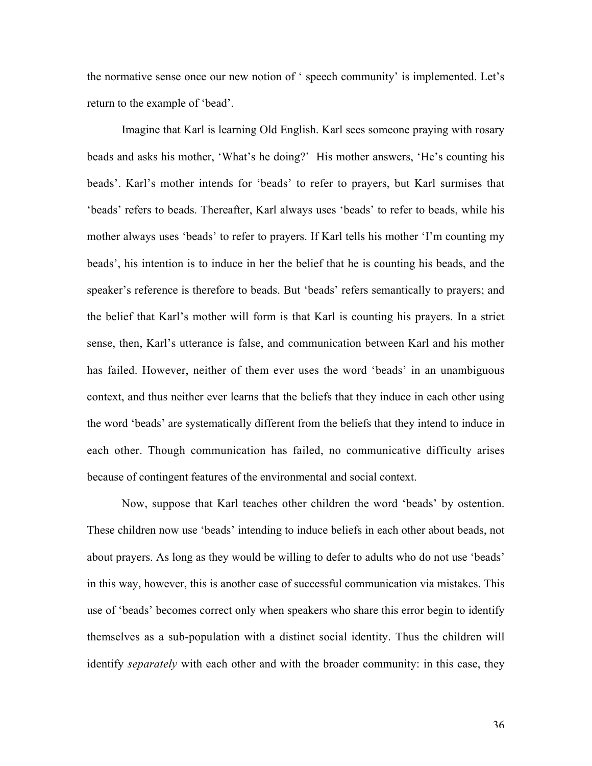the normative sense once our new notion of ' speech community' is implemented. Let's return to the example of 'bead'.

Imagine that Karl is learning Old English. Karl sees someone praying with rosary beads and asks his mother, 'What's he doing?' His mother answers, 'He's counting his beads'. Karl's mother intends for 'beads' to refer to prayers, but Karl surmises that 'beads' refers to beads. Thereafter, Karl always uses 'beads' to refer to beads, while his mother always uses 'beads' to refer to prayers. If Karl tells his mother 'I'm counting my beads', his intention is to induce in her the belief that he is counting his beads, and the speaker's reference is therefore to beads. But 'beads' refers semantically to prayers; and the belief that Karl's mother will form is that Karl is counting his prayers. In a strict sense, then, Karl's utterance is false, and communication between Karl and his mother has failed. However, neither of them ever uses the word 'beads' in an unambiguous context, and thus neither ever learns that the beliefs that they induce in each other using the word 'beads' are systematically different from the beliefs that they intend to induce in each other. Though communication has failed, no communicative difficulty arises because of contingent features of the environmental and social context.

Now, suppose that Karl teaches other children the word 'beads' by ostention. These children now use 'beads' intending to induce beliefs in each other about beads, not about prayers. As long as they would be willing to defer to adults who do not use 'beads' in this way, however, this is another case of successful communication via mistakes. This use of 'beads' becomes correct only when speakers who share this error begin to identify themselves as a sub-population with a distinct social identity. Thus the children will identify *separately* with each other and with the broader community: in this case, they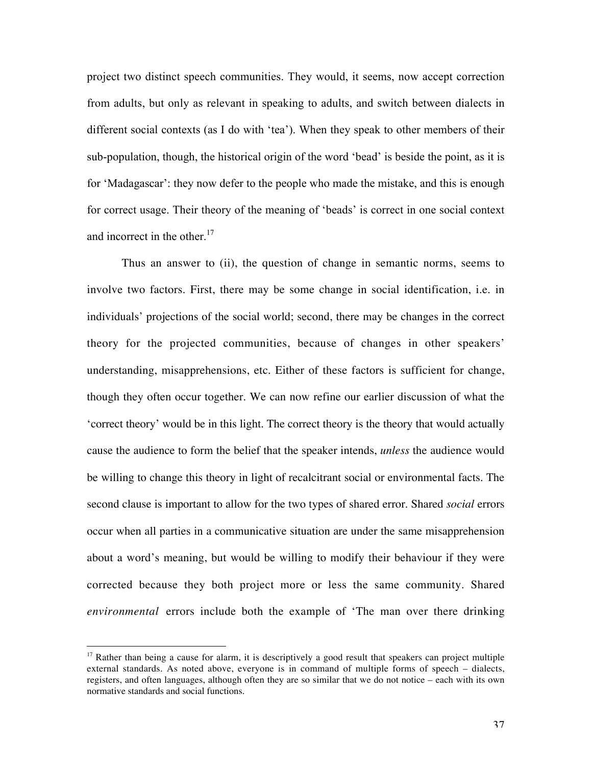project two distinct speech communities. They would, it seems, now accept correction from adults, but only as relevant in speaking to adults, and switch between dialects in different social contexts (as I do with 'tea'). When they speak to other members of their sub-population, though, the historical origin of the word 'bead' is beside the point, as it is for 'Madagascar': they now defer to the people who made the mistake, and this is enough for correct usage. Their theory of the meaning of 'beads' is correct in one social context and incorrect in the other.<sup>17</sup>

Thus an answer to (ii), the question of change in semantic norms, seems to involve two factors. First, there may be some change in social identification, i.e. in individuals' projections of the social world; second, there may be changes in the correct theory for the projected communities, because of changes in other speakers' understanding, misapprehensions, etc. Either of these factors is sufficient for change, though they often occur together. We can now refine our earlier discussion of what the 'correct theory' would be in this light. The correct theory is the theory that would actually cause the audience to form the belief that the speaker intends, *unless* the audience would be willing to change this theory in light of recalcitrant social or environmental facts. The second clause is important to allow for the two types of shared error. Shared *social* errors occur when all parties in a communicative situation are under the same misapprehension about a word's meaning, but would be willing to modify their behaviour if they were corrected because they both project more or less the same community. Shared *environmental* errors include both the example of 'The man over there drinking

 $17$  Rather than being a cause for alarm, it is descriptively a good result that speakers can project multiple external standards. As noted above, everyone is in command of multiple forms of speech – dialects, registers, and often languages, although often they are so similar that we do not notice – each with its own normative standards and social functions.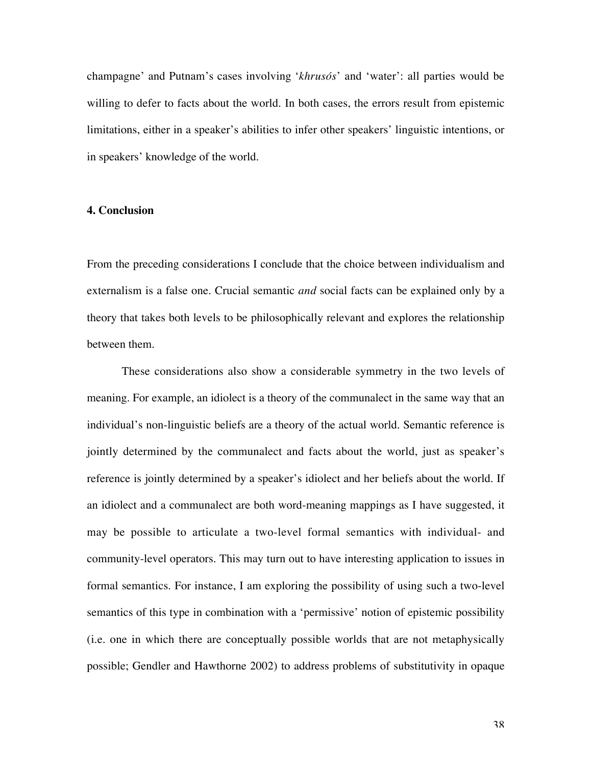champagne' and Putnam's cases involving '*khrusós*' and 'water': all parties would be willing to defer to facts about the world. In both cases, the errors result from epistemic limitations, either in a speaker's abilities to infer other speakers' linguistic intentions, or in speakers' knowledge of the world.

## **4. Conclusion**

From the preceding considerations I conclude that the choice between individualism and externalism is a false one. Crucial semantic *and* social facts can be explained only by a theory that takes both levels to be philosophically relevant and explores the relationship between them.

These considerations also show a considerable symmetry in the two levels of meaning. For example, an idiolect is a theory of the communalect in the same way that an individual's non-linguistic beliefs are a theory of the actual world. Semantic reference is jointly determined by the communalect and facts about the world, just as speaker's reference is jointly determined by a speaker's idiolect and her beliefs about the world. If an idiolect and a communalect are both word-meaning mappings as I have suggested, it may be possible to articulate a two-level formal semantics with individual- and community-level operators. This may turn out to have interesting application to issues in formal semantics. For instance, I am exploring the possibility of using such a two-level semantics of this type in combination with a 'permissive' notion of epistemic possibility (i.e. one in which there are conceptually possible worlds that are not metaphysically possible; Gendler and Hawthorne 2002) to address problems of substitutivity in opaque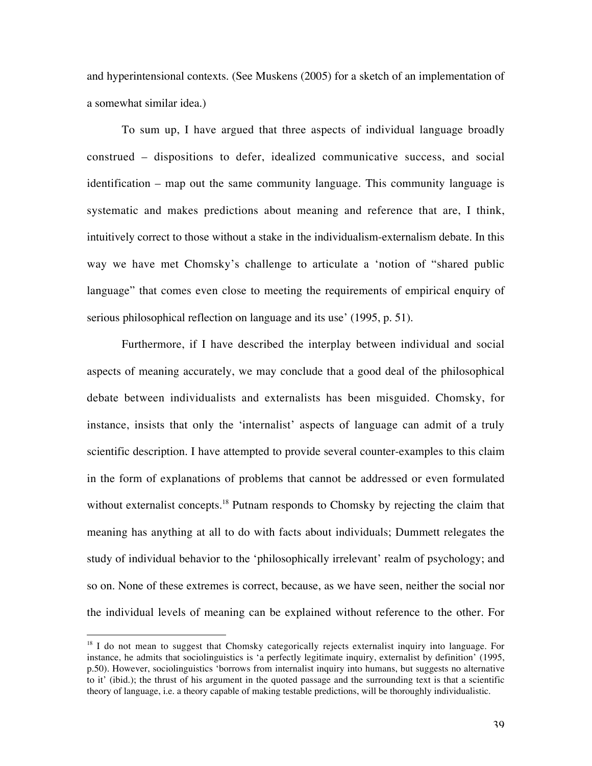and hyperintensional contexts. (See Muskens (2005) for a sketch of an implementation of a somewhat similar idea.)

To sum up, I have argued that three aspects of individual language broadly construed – dispositions to defer, idealized communicative success, and social identification – map out the same community language. This community language is systematic and makes predictions about meaning and reference that are, I think, intuitively correct to those without a stake in the individualism-externalism debate. In this way we have met Chomsky's challenge to articulate a 'notion of "shared public language" that comes even close to meeting the requirements of empirical enquiry of serious philosophical reflection on language and its use' (1995, p. 51).

Furthermore, if I have described the interplay between individual and social aspects of meaning accurately, we may conclude that a good deal of the philosophical debate between individualists and externalists has been misguided. Chomsky, for instance, insists that only the 'internalist' aspects of language can admit of a truly scientific description. I have attempted to provide several counter-examples to this claim in the form of explanations of problems that cannot be addressed or even formulated without externalist concepts.<sup>18</sup> Putnam responds to Chomsky by rejecting the claim that meaning has anything at all to do with facts about individuals; Dummett relegates the study of individual behavior to the 'philosophically irrelevant' realm of psychology; and so on. None of these extremes is correct, because, as we have seen, neither the social nor the individual levels of meaning can be explained without reference to the other. For

 $18$  I do not mean to suggest that Chomsky categorically rejects externalist inquiry into language. For instance, he admits that sociolinguistics is 'a perfectly legitimate inquiry, externalist by definition' (1995, p.50). However, sociolinguistics 'borrows from internalist inquiry into humans, but suggests no alternative to it' (ibid.); the thrust of his argument in the quoted passage and the surrounding text is that a scientific theory of language, i.e. a theory capable of making testable predictions, will be thoroughly individualistic.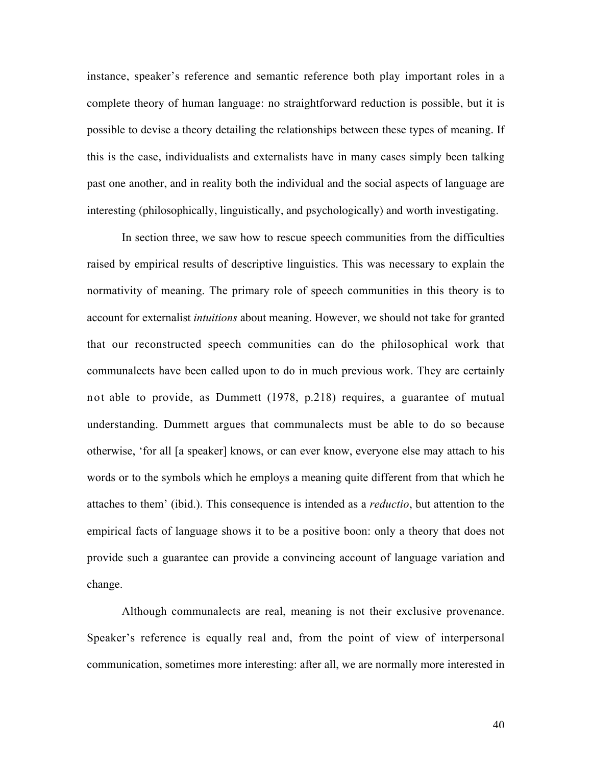instance, speaker's reference and semantic reference both play important roles in a complete theory of human language: no straightforward reduction is possible, but it is possible to devise a theory detailing the relationships between these types of meaning. If this is the case, individualists and externalists have in many cases simply been talking past one another, and in reality both the individual and the social aspects of language are interesting (philosophically, linguistically, and psychologically) and worth investigating.

In section three, we saw how to rescue speech communities from the difficulties raised by empirical results of descriptive linguistics. This was necessary to explain the normativity of meaning. The primary role of speech communities in this theory is to account for externalist *intuitions* about meaning. However, we should not take for granted that our reconstructed speech communities can do the philosophical work that communalects have been called upon to do in much previous work. They are certainly not able to provide, as Dummett (1978, p.218) requires, a guarantee of mutual understanding. Dummett argues that communalects must be able to do so because otherwise, 'for all [a speaker] knows, or can ever know, everyone else may attach to his words or to the symbols which he employs a meaning quite different from that which he attaches to them' (ibid.). This consequence is intended as a *reductio*, but attention to the empirical facts of language shows it to be a positive boon: only a theory that does not provide such a guarantee can provide a convincing account of language variation and change.

Although communalects are real, meaning is not their exclusive provenance. Speaker's reference is equally real and, from the point of view of interpersonal communication, sometimes more interesting: after all, we are normally more interested in

40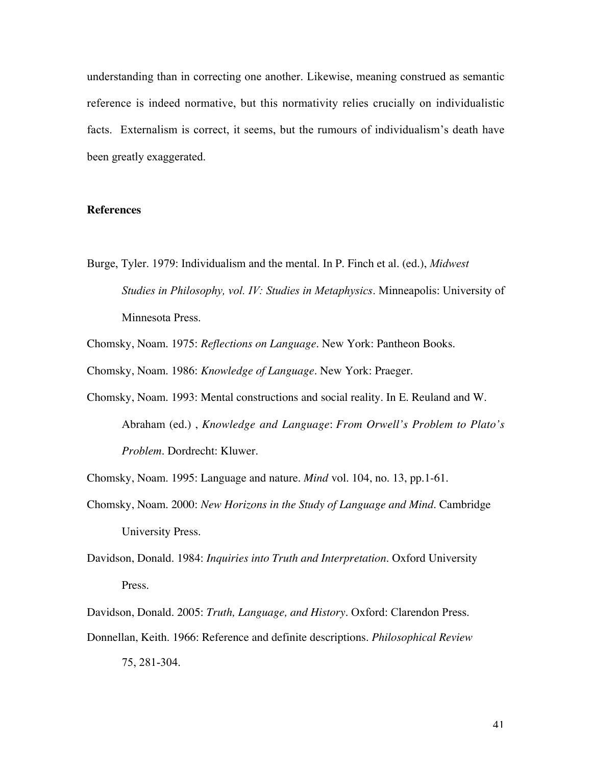understanding than in correcting one another. Likewise, meaning construed as semantic reference is indeed normative, but this normativity relies crucially on individualistic facts. Externalism is correct, it seems, but the rumours of individualism's death have been greatly exaggerated.

# **References**

Burge, Tyler. 1979: Individualism and the mental. In P. Finch et al. (ed.), *Midwest Studies in Philosophy, vol. IV: Studies in Metaphysics*. Minneapolis: University of Minnesota Press.

Chomsky, Noam. 1975: *Reflections on Language.* New York: Pantheon Books.

Chomsky, Noam. 1986: *Knowledge of Language.* New York: Praeger.

Chomsky, Noam. 1993: Mental constructions and social reality. In E. Reuland and W. Abraham (ed.) , *Knowledge and Language*: *From Orwell's Problem to Plato's Problem.* Dordrecht: Kluwer.

Chomsky, Noam. 1995: Language and nature. *Mind* vol. 104, no. 13, pp.1-61.

- Chomsky, Noam. 2000: *New Horizons in the Study of Language and Mind*. Cambridge University Press.
- Davidson, Donald. 1984: *Inquiries into Truth and Interpretation.* Oxford University Press.

Davidson, Donald. 2005: *Truth, Language, and History.* Oxford: Clarendon Press. Donnellan, Keith. 1966: Reference and definite descriptions. *Philosophical Review*

75, 281-304.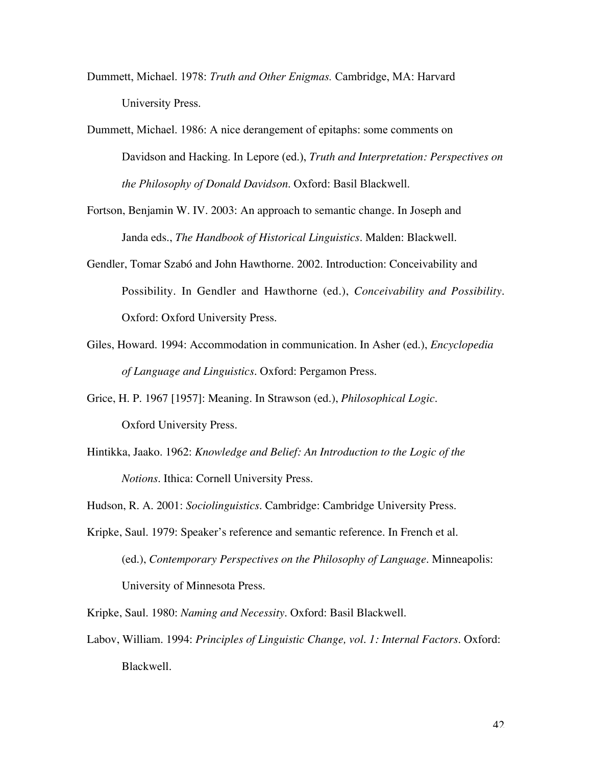- Dummett, Michael. 1978: *Truth and Other Enigmas.* Cambridge, MA: Harvard University Press.
- Dummett, Michael. 1986: A nice derangement of epitaphs: some comments on Davidson and Hacking. In Lepore (ed.), *Truth and Interpretation: Perspectives on the Philosophy of Donald Davidson*. Oxford: Basil Blackwell.
- Fortson, Benjamin W. IV. 2003: An approach to semantic change. In Joseph and Janda eds., *The Handbook of Historical Linguistics.* Malden: Blackwell.
- Gendler, Tomar Szabó and John Hawthorne. 2002. Introduction: Conceivability and Possibility. In Gendler and Hawthorne (ed.), *Conceivability and Possibility.* Oxford: Oxford University Press.
- Giles, Howard. 1994: Accommodation in communication. In Asher (ed.), *Encyclopedia of Language and Linguistics.* Oxford: Pergamon Press.
- Grice, H. P. 1967 [1957]: Meaning. In Strawson (ed.), *Philosophical Logic.* Oxford University Press.
- Hintikka, Jaako. 1962: *Knowledge and Belief: An Introduction to the Logic of the Notions.* Ithica: Cornell University Press.
- Hudson, R. A. 2001: *Sociolinguistics.* Cambridge: Cambridge University Press.
- Kripke, Saul. 1979: Speaker's reference and semantic reference. In French et al. (ed.), *Contemporary Perspectives on the Philosophy of Language*. Minneapolis: University of Minnesota Press.
- Kripke, Saul. 1980: *Naming and Necessity.* Oxford: Basil Blackwell.
- Labov, William. 1994: *Principles of Linguistic Change, vol. 1: Internal Factors.* Oxford: Blackwell.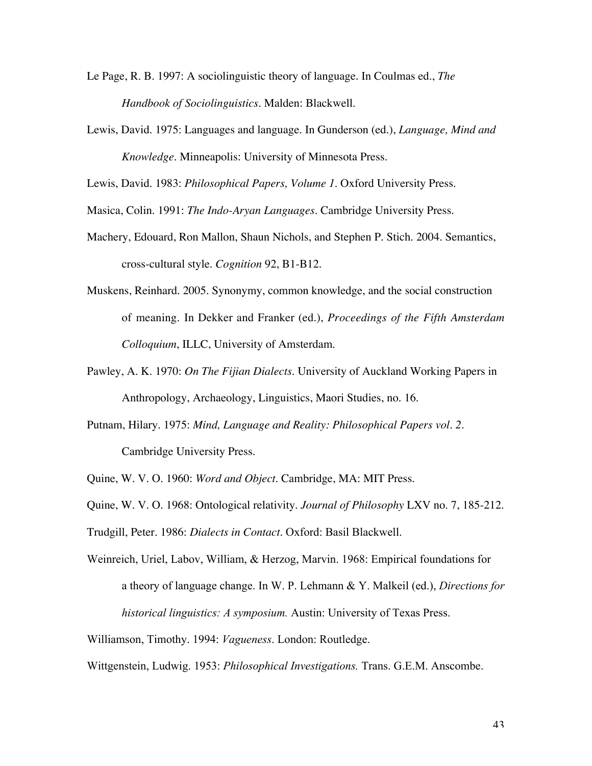- Le Page, R. B. 1997: A sociolinguistic theory of language. In Coulmas ed., *The Handbook of Sociolinguistics.* Malden: Blackwell.
- Lewis, David. 1975: Languages and language. In Gunderson (ed.), *Language, Mind and Knowledge.* Minneapolis: University of Minnesota Press.

Lewis, David. 1983: *Philosophical Papers, Volume 1.* Oxford University Press.

- Masica, Colin. 1991: *The Indo-Aryan Languages.* Cambridge University Press.
- Machery, Edouard, Ron Mallon, Shaun Nichols, and Stephen P. Stich. 2004. Semantics, cross-cultural style. *Cognition* 92, B1-B12.
- Muskens, Reinhard. 2005. Synonymy, common knowledge, and the social construction of meaning. In Dekker and Franker (ed.), *Proceedings of the Fifth Amsterdam Colloquium*, ILLC, University of Amsterdam.
- Pawley, A. K. 1970: *On The Fijian Dialects.* University of Auckland Working Papers in Anthropology, Archaeology, Linguistics, Maori Studies, no. 16.
- Putnam, Hilary. 1975: *Mind, Language and Reality: Philosophical Papers vol. 2.* Cambridge University Press.
- Quine, W. V. O. 1960: *Word and Object.* Cambridge, MA: MIT Press.

Quine, W. V. O. 1968: Ontological relativity. *Journal of Philosophy* LXV no. 7, 185-212.

Trudgill, Peter. 1986: *Dialects in Contact.* Oxford: Basil Blackwell.

Weinreich, Uriel, Labov, William, & Herzog, Marvin. 1968: Empirical foundations for a theory of language change. In W. P. Lehmann & Y. Malkeil (ed.), *Directions for historical linguistics: A symposium.* Austin: University of Texas Press.

Williamson, Timothy. 1994: *Vagueness*. London: Routledge.

Wittgenstein, Ludwig. 1953: *Philosophical Investigations.* Trans. G.E.M. Anscombe.